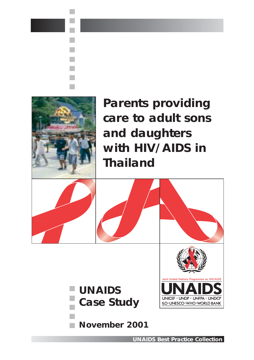



**November 2001**

**UNAIDS** *Best Practice* **Collection**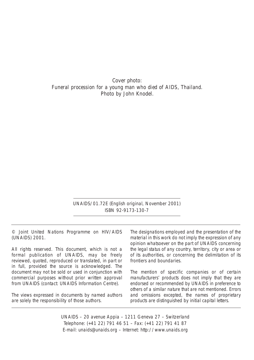Cover photo: *Funeral procession for a young man who died of AIDS, Thailand.*  Photo by John Knodel.

> UNAIDS/01.72E (English original, November 2001) ISBN 92-9173-130-7

© Joint United Nations Programme on HIV/AIDS (UNAIDS) 2001.

All rights reserved. This document, which is not a formal publication of UNAIDS, may be freely reviewed, quoted, reproduced or translated, in part or in full, provided the source is acknowledged. The document may not be sold or used in conjunction with commercial purposes without prior written approval from UNAIDS (contact: UNAIDS Information Centre).

The views expressed in documents by named authors are solely the responsibility of those authors.

The designations employed and the presentation of the material in this work do not imply the expression of any opinion whatsoever on the part of UNAIDS concerning the legal status of any country, territory, city or area or of its authorities, or concerning the delimitation of its frontiers and boundaries.

The mention of specific companies or of certain manufacturers' products does not imply that they are endorsed or recommended by UNAIDS in preference to others of a similar nature that are not mentioned. Errors and omissions excepted, the names of proprietary products are distinguished by initial capital letters.

UNAIDS – 20 avenue Appia – 1211 Geneva 27 – Switzerland Telephone: (+41 22) 791 46 51 – Fax: (+41 22) 791 41 87 E-mail: unaids@unaids.org – Internet: http://www.unaids.org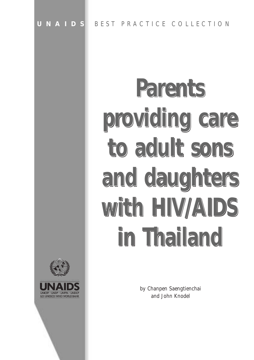# **Parents Parents Parents** providing care<br> **to adult sons to adult sons to adult sons and daughters and daughters and daughters with HIV/AIDS with HIV/AIDS with HIV/AIDS in Thailand in Thailand in Thailand**



by Chanpen Saengtienchai and John Knodel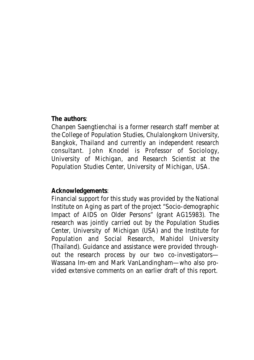#### **The authors**:

Chanpen Saengtienchai is a former research staff member at the College of Population Studies, Chulalongkorn University, Bangkok, Thailand and currently an independent research consultant. John Knodel is Professor of Sociology, University of Michigan, and Research Scientist at the Population Studies Center, University of Michigan, USA.

#### **Acknowledgements**:

Financial support for this study was provided by the National Institute on Aging as part of the project "Socio-demographic Impact of AIDS on Older Persons" (grant AG15983). The research was jointly carried out by the Population Studies Center, University of Michigan (USA) and the Institute for Population and Social Research, Mahidol University (Thailand). Guidance and assistance were provided throughout the research process by our two co-investigators— Wassana Im-em and Mark VanLandingham—who also provided extensive comments on an earlier draft of this report.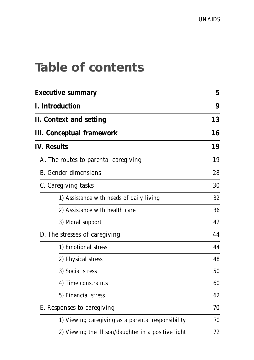### **Table of contents**

| Executive summary                                   |    |  |  |
|-----------------------------------------------------|----|--|--|
| I. Introduction                                     | 9  |  |  |
| II. Context and setting                             |    |  |  |
| III. Conceptual framework                           | 16 |  |  |
| <b>IV. Results</b>                                  | 19 |  |  |
| A. The routes to parental caregiving                | 19 |  |  |
| <b>B.</b> Gender dimensions                         | 28 |  |  |
| C. Caregiving tasks                                 | 30 |  |  |
| 1) Assistance with needs of daily living            | 32 |  |  |
| 2) Assistance with health care                      | 36 |  |  |
| 3) Moral support                                    | 42 |  |  |
| D. The stresses of caregiving                       | 44 |  |  |
| 1) Emotional stress                                 | 44 |  |  |
| 2) Physical stress                                  | 48 |  |  |
| 3) Social stress                                    | 50 |  |  |
| 4) Time constraints                                 | 60 |  |  |
| 5) Financial stress                                 | 62 |  |  |
| E. Responses to caregiving                          | 70 |  |  |
| 1) Viewing caregiving as a parental responsibility  | 70 |  |  |
| 2) Viewing the ill son/daughter in a positive light | 72 |  |  |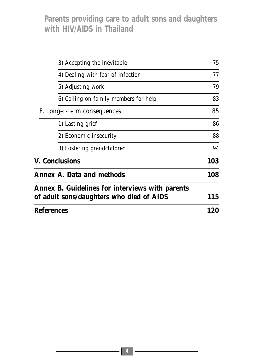| 3) Accepting the inevitable                     | 75  |  |
|-------------------------------------------------|-----|--|
| 4) Dealing with fear of infection               | 77  |  |
| 5) Adjusting work                               | 79  |  |
| 6) Calling on family members for help           | 83  |  |
| F. Longer-term consequences                     | 85  |  |
| 1) Lasting grief                                | 86  |  |
| 2) Economic insecurity                          | 88  |  |
| 3) Fostering grandchildren                      | 94  |  |
| V. Conclusions                                  |     |  |
| <b>Annex A. Data and methods</b>                | 108 |  |
| Annex B. Guidelines for interviews with parents |     |  |
| of adult sons/daughters who died of AIDS        |     |  |
| <b>References</b>                               |     |  |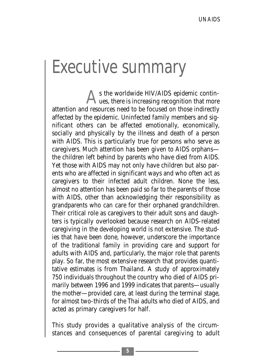## Executive summary

s the worldwide HIV/AIDS epidemic continues, there is increasing recognition that more attention and resources need to be focused on those indirectly affected by the epidemic. Uninfected family members and significant others can be affected emotionally, economically, socially and physically by the illness and death of a person with AIDS. This is particularly true for persons who serve as caregivers. Much attention has been given to AIDS orphans the children left behind by parents who have died from AIDS. Yet those with AIDS may not only have children but also parents who are affected in significant ways and who often act as caregivers to their infected adult children. None the less, almost no attention has been paid so far to the parents of those with AIDS, other than acknowledging their responsibility as grandparents who can care for their orphaned grandchildren. Their critical role as caregivers to their adult sons and daughters is typically overlooked because research on AIDS-related caregiving in the developing world is not extensive. The studies that have been done, however, underscore the importance of the traditional family in providing care and support for adults with AIDS and, particularly, the major role that parents play. So far, the most extensive research that provides quantitative estimates is from Thailand. A study of approximately 750 individuals throughout the country who died of AIDS primarily between 1996 and 1999 indicates that parents—usually the mother—provided care, at least during the terminal stage, for almost two-thirds of the Thai adults who died of AIDS, and acted as primary caregivers for half.

This study provides a qualitative analysis of the circumstances and consequences of parental caregiving to adult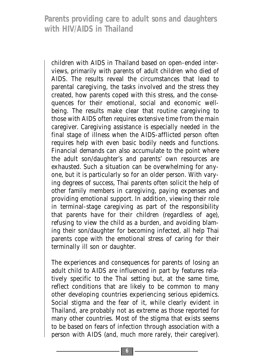children with AIDS in Thailand based on open-ended interviews, primarily with parents of adult children who died of AIDS. The results reveal the circumstances that lead to parental caregiving, the tasks involved and the stress they created, how parents coped with this stress, and the consequences for their emotional, social and economic wellbeing. The results make clear that routine caregiving to those with AIDS often requires extensive time from the main caregiver. Caregiving assistance is especially needed in the final stage of illness when the AIDS-afflicted person often requires help with even basic bodily needs and functions. Financial demands can also accumulate to the point where the adult son/daughter's and parents' own resources are exhausted. Such a situation can be overwhelming for anyone, but it is particularly so for an older person. With varying degrees of success, Thai parents often solicit the help of other family members in caregiving, paying expenses and providing emotional support. In addition, viewing their role in terminal-stage caregiving as part of the responsibility that parents have for their children (regardless of age), refusing to view the child as a burden, and avoiding blaming their son/daughter for becoming infected, all help Thai parents cope with the emotional stress of caring for their terminally ill son or daughter.

The experiences and consequences for parents of losing an adult child to AIDS are influenced in part by features relatively specific to the Thai setting but, at the same time, reflect conditions that are likely to be common to many other developing countries experiencing serious epidemics. Social stigma and the fear of it, while clearly evident in Thailand, are probably not as extreme as those reported for many other countries. Most of the stigma that exists seems to be based on fears of infection through association with a person with AIDS (and, much more rarely, their caregiver).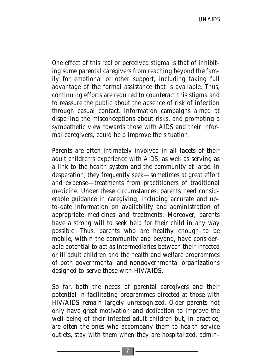One effect of this real or perceived stigma is that of inhibiting some parental caregivers from reaching beyond the family for emotional or other support, including taking full advantage of the formal assistance that is available. Thus, continuing efforts are required to counteract this stigma and to reassure the public about the absence of risk of infection through casual contact. Information campaigns aimed at dispelling the misconceptions about risks, and promoting a sympathetic view towards those with AIDS and their informal caregivers, could help improve the situation.

Parents are often intimately involved in all facets of their adult children's experience with AIDS, as well as serving as a link to the health system and the community at large. In desperation, they frequently seek—sometimes at great effort and expense—treatments from practitioners of traditional medicine. Under these circumstances, parents need considerable guidance in caregiving, including accurate and upto-date information on availability and administration of appropriate medicines and treatments. Moreover, parents have a strong will to seek help for their child in any way possible. Thus, parents who are healthy enough to be mobile, within the community and beyond, have considerable potential to act as intermediaries between their infected or ill adult children and the health and welfare programmes of both governmental and nongovernmental organizations designed to serve those with HIV/AIDS.

So far, both the needs of parental caregivers and their potential in facilitating programmes directed at those with HIV/AIDS remain largely unrecognized. Older parents not only have great motivation and dedication to improve the well-being of their infected adult children but, in practice, are often the ones who accompany them to health service outlets, stay with them when they are hospitalized, admin-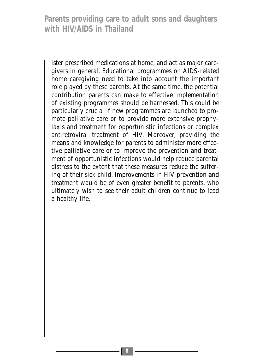ister prescribed medications at home, and act as major caregivers in general. Educational programmes on AIDS-related home caregiving need to take into account the important role played by these parents. At the same time, the potential contribution parents can make to effective implementation of existing programmes should be harnessed. This could be particularly crucial if new programmes are launched to promote palliative care or to provide more extensive prophylaxis and treatment for opportunistic infections or complex antiretroviral treatment of HIV. Moreover, providing the means and knowledge for parents to administer more effective palliative care or to improve the prevention and treatment of opportunistic infections would help reduce parental distress to the extent that these measures reduce the suffering of their sick child. Improvements in HIV prevention and treatment would be of even greater benefit to parents, who ultimately wish to see their adult children continue to lead a healthy life.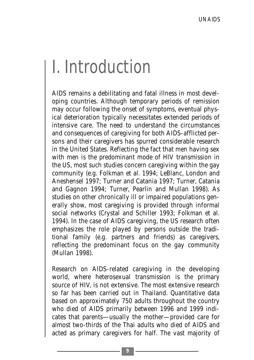# I. Introduction

AIDS remains a debilitating and fatal illness in most developing countries. Although temporary periods of remission may occur following the onset of symptoms, eventual physical deterioration typically necessitates extended periods of intensive care. The need to understand the circumstances and consequences of caregiving for both AIDS-afflicted persons and their caregivers has spurred considerable research in the United States. Reflecting the fact that men having sex with men is the predominant mode of HIV transmission in the US, most such studies concern caregiving within the gay community (e.g. Folkman et al. 1994; LeBlanc, London and Aneshensel 1997; Turner and Catania 1997; Turner, Catania and Gagnon 1994; Turner, Pearlin and Mullan 1998). As studies on other chronically ill or impaired populations generally show, most caregiving is provided through informal social networks (Crystal and Schiller 1993; Folkman et al. 1994). In the case of AIDS caregiving, the US research often emphasizes the role played by persons outside the traditional family (e.g. partners and friends) as caregivers, reflecting the predominant focus on the gay community (Mullan 1998).

Research on AIDS-related caregiving in the developing world, where heterosexual transmission is the primary source of HIV, is not extensive. The most extensive research so far has been carried out in Thailand. Quantitative data based on approximately 750 adults throughout the country who died of AIDS primarily between 1996 and 1999 indicates that parents—usually the mother—provided care for almost two-thirds of the Thai adults who died of AIDS and acted as primary caregivers for half. The vast majority of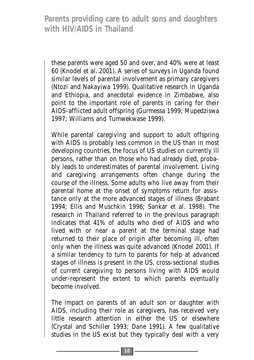these parents were aged 50 and over, and 40% were at least 60 (Knodel et al. 2001). A series of surveys in Uganda found similar levels of parental involvement as primary caregivers (Ntozi and Nakayiwa 1999). Qualitative research in Uganda and Ethiopia, and anecdotal evidence in Zimbabwe, also point to the important role of parents in caring for their AIDS-afflicted adult offspring (Gurmessa 1999; Mupedziswa 1997; Williams and Tumwekwase 1999).

While parental caregiving and support to adult offspring with AIDS is probably less common in the US than in most developing countries, the focus of US studies on currently ill persons, rather than on those who had already died, probably leads to underestimates of parental involvement. Living and caregiving arrangements often change during the course of the illness. Some adults who live away from their parental home at the onset of symptoms return for assistance only at the more advanced stages of illness (Brabant 1994; Ellis and Muschkin 1996; Sankar et al. 1998). The research in Thailand referred to in the previous paragraph indicates that 41% of adults who died of AIDS and who lived with or near a parent at the terminal stage had returned to their place of origin after becoming ill, often only when the illness was quite advanced (Knodel 2001). If a similar tendency to turn to parents for help at advanced stages of illness is present in the US, cross-sectional studies of current caregiving to persons living with AIDS would under-represent the extent to which parents eventually become involved.

The impact on parents of an adult son or daughter with AIDS, including their role as caregivers, has received very little research attention in either the US or elsewhere (Crystal and Schiller 1993; Dane 1991). A few qualitative studies in the US exist but they typically deal with a very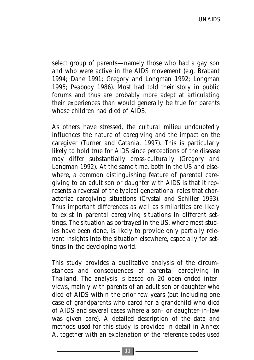select group of parents—namely those who had a gay son and who were active in the AIDS movement (e.g. Brabant 1994; Dane 1991; Gregory and Longman 1992; Longman 1995; Peabody 1986). Most had told their story in public forums and thus are probably more adept at articulating their experiences than would generally be true for parents whose children had died of AIDS.

As others have stressed, the cultural milieu undoubtedly influences the nature of caregiving and the impact on the caregiver (Turner and Catania, 1997). This is particularly likely to hold true for AIDS since perceptions of the disease may differ substantially cross-culturally (Gregory and Longman 1992). At the same time, both in the US and elsewhere, a common distinguishing feature of parental caregiving to an adult son or daughter with AIDS is that it represents a reversal of the typical generational roles that characterize caregiving situations (Crystal and Schiller 1993). Thus important differences as well as similarities are likely to exist in parental caregiving situations in different settings. The situation as portrayed in the US, where most studies have been done, is likely to provide only partially relevant insights into the situation elsewhere, especially for settings in the developing world.

This study provides a qualitative analysis of the circumstances and consequences of parental caregiving in Thailand. The analysis is based on 20 open-ended interviews, mainly with parents of an adult son or daughter who died of AIDS within the prior few years (but including one case of grandparents who cared for a grandchild who died of AIDS and several cases where a son- or daughter-in-law was given care). A detailed description of the data and methods used for this study is provided in detail in Annex A, together with an explanation of the reference codes used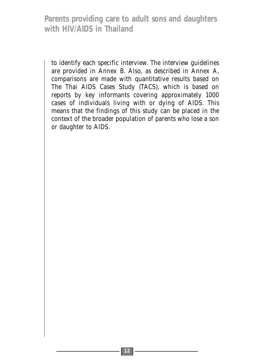to identify each specific interview. The interview guidelines are provided in Annex B. Also, as described in Annex A, comparisons are made with quantitative results based on The Thai AIDS Cases Study (TACS), which is based on reports by key informants covering approximately 1000 cases of individuals living with or dying of AIDS. This means that the findings of this study can be placed in the context of the broader population of parents who lose a son or daughter to AIDS.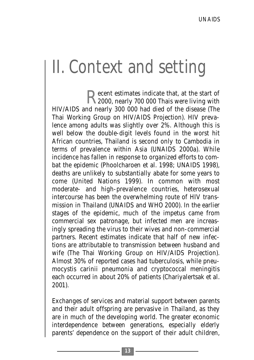# II. Context and setting

Recent estimates indicate that, at the start of<br>2000, nearly 700 000 Thais were living with HIV/AIDS and nearly 300 000 had died of the disease (The Thai Working Group on HIV/AIDS Projection). HIV prevalence among adults was slightly over 2%. Although this is well below the double-digit levels found in the worst hit African countries, Thailand is second only to Cambodia in terms of prevalence within Asia (UNAIDS 2000a). While incidence has fallen in response to organized efforts to combat the epidemic (Phoolcharoen et al. 1998; UNAIDS 1998), deaths are unlikely to substantially abate for some years to come (United Nations 1999). In common with most moderate- and high-prevalence countries, heterosexual intercourse has been the overwhelming route of HIV transmission in Thailand (UNAIDS and WHO 2000). In the earlier stages of the epidemic, much of the impetus came from commercial sex patronage, but infected men are increasingly spreading the virus to their wives and non-commercial partners. Recent estimates indicate that half of new infections are attributable to transmission between husband and wife (The Thai Working Group on HIV/AIDS Projection). Almost 30% of reported cases had tuberculosis, while pneumocystis carinii pneumonia and cryptococcal meningitis each occurred in about 20% of patients (Chariyalertsak et al. 2001).

Exchanges of services and material support between parents and their adult offspring are pervasive in Thailand, as they are in much of the developing world. The greater economic interdependence between generations, especially elderly parents' dependence on the support of their adult children,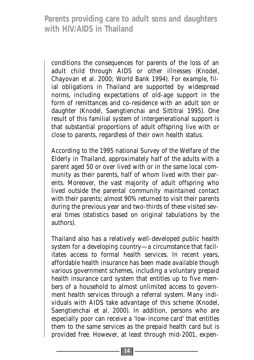conditions the consequences for parents of the loss of an adult child through AIDS or other illnesses (Knodel, Chayovan et al. 2000; World Bank 1994). For example, filial obligations in Thailand are supported by widespread norms, including expectations of old-age support in the form of remittances and co-residence with an adult son or daughter (Knodel, Saengtienchai and Sittitrai 1995). One result of this familial system of intergenerational support is that substantial proportions of adult offspring live with or close to parents, regardless of their own health status.

According to the 1995 national Survey of the Welfare of the Elderly in Thailand, approximately half of the adults with a parent aged 50 or over lived with or in the same local community as their parents, half of whom lived with *their* parents. Moreover, the vast majority of adult offspring who lived outside the parental community maintained contact with their parents; almost 90% returned to visit their parents during the previous year and two-thirds of these visited several times (statistics based on original tabulations by the authors).

Thailand also has a relatively well-developed public health system for a developing country—a circumstance that facilitates access to formal health services. In recent years, affordable health insurance has been made available though various government schemes, including a voluntary prepaid health insurance card system that entitles up to five members of a household to almost unlimited access to government health services through a referral system. Many individuals with AIDS take advantage of this scheme (Knodel, Saengtienchai et al. 2000). In addition, persons who are especially poor can receive a 'low-income card' that entitles them to the same services as the prepaid health card but is provided free. However, at least through mid-2001, expen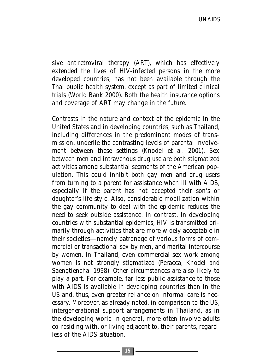sive antiretroviral therapy (ART), which has effectively extended the lives of HIV-infected persons in the more developed countries, has not been available through the Thai public health system, except as part of limited clinical trials (World Bank 2000). Both the health insurance options and coverage of ART may change in the future.

Contrasts in the nature and context of the epidemic in the United States and in developing countries, such as Thailand, including differences in the predominant modes of transmission, underlie the contrasting levels of parental involvement between these settings (Knodel et al. 2001). Sex between men and intravenous drug use are both stigmatized activities among substantial segments of the American population. This could inhibit both gay men and drug users from turning to a parent for assistance when ill with AIDS, especially if the parent has not accepted their son's or daughter's life style. Also, considerable mobilization within the gay community to deal with the epidemic reduces the need to seek outside assistance. In contrast, in developing countries with substantial epidemics, HIV is transmitted primarily through activities that are more widely acceptable in their societies—namely patronage of various forms of commercial or transactional sex by men, and marital intercourse by women. In Thailand, even commercial sex work among women is not strongly stigmatized (Peracca, Knodel and Saengtienchai 1998). Other circumstances are also likely to play a part. For example, far less public assistance to those with AIDS is available in developing countries than in the US and, thus, even greater reliance on informal care is necessary. Moreover, as already noted, in comparison to the US, intergenerational support arrangements in Thailand, as in the developing world in general, more often involve adults co-residing with, or living adjacent to, their parents, regardless of the AIDS situation.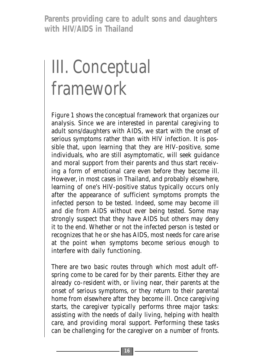# III. Conceptual framework

Figure 1 shows the conceptual framework that organizes our analysis. Since we are interested in parental caregiving to adult sons/daughters with AIDS, we start with the onset of serious symptoms rather than with HIV infection. It is possible that, upon learning that they are HIV-positive, some individuals, who are still asymptomatic, will seek guidance and moral support from their parents and thus start receiving a form of emotional care even before they become ill. However, in most cases in Thailand, and probably elsewhere, learning of one's HIV-positive status typically occurs only after the appearance of sufficient symptoms prompts the infected person to be tested. Indeed, some may become ill and die from AIDS without ever being tested. Some may strongly suspect that they have AIDS but others may deny it to the end. Whether or not the infected person is tested or recognizes that he or she has AIDS, most needs for care arise at the point when symptoms become serious enough to interfere with daily functioning.

There are two basic routes through which most adult offspring come to be cared for by their parents. Either they are already co-resident with, or living near, their parents at the onset of serious symptoms, or they return to their parental home from elsewhere after they become ill. Once caregiving starts, the caregiver typically performs three major tasks: assisting with the needs of daily living, helping with health care, and providing moral support. Performing these tasks can be challenging for the caregiver on a number of fronts.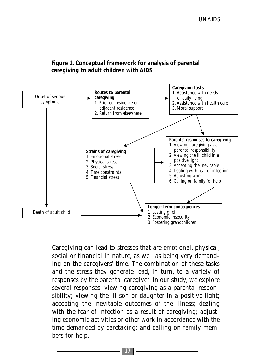



Caregiving can lead to stresses that are emotional, physical, social or financial in nature, as well as being very demanding on the caregivers' time. The combination of these tasks and the stress they generate lead, in turn, to a variety of responses by the parental caregiver. In our study, we explore several responses: viewing caregiving as a parental responsibility; viewing the ill son or daughter in a positive light; accepting the inevitable outcomes of the illness; dealing with the fear of infection as a result of caregiving; adjusting economic activities or other work in accordance with the time demanded by caretaking; and calling on family members for help.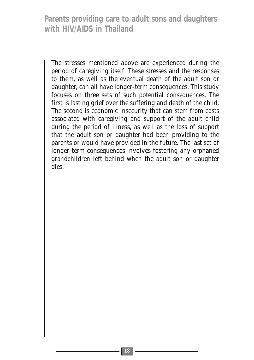The stresses mentioned above are experienced during the period of caregiving itself. These stresses and the responses to them, as well as the eventual death of the adult son or daughter, can all have longer-term consequences. This study focuses on three sets of such potential consequences. The first is lasting grief over the suffering and death of the child. The second is economic insecurity that can stem from costs associated with caregiving and support of the adult child during the period of illness, as well as the loss of support that the adult son or daughter had been providing to the parents or would have provided in the future. The last set of longer-term consequences involves fostering any orphaned grandchildren left behind when the adult son or daughter dies.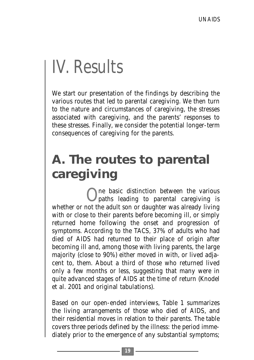# IV. Results

We start our presentation of the findings by describing the various routes that led to parental caregiving. We then turn to the nature and circumstances of caregiving, the stresses associated with caregiving, and the parents' responses to these stresses. Finally, we consider the potential longer-term consequences of caregiving for the parents.

### **A. The routes to parental caregiving**

One basic distinction between the various paths leading to parental caregiving is whether or not the adult son or daughter was already living with or close to their parents before becoming ill, or simply returned home following the onset and progression of symptoms. According to the TACS, 37% of adults who had died of AIDS had returned to their place of origin after becoming ill and, among those with living parents, the large majority (close to 90%) either moved in with, or lived adjacent to, them. About a third of those who returned lived only a few months or less, suggesting that many were in quite advanced stages of AIDS at the time of return (Knodel et al. 2001 and original tabulations).

Based on our open-ended interviews, Table 1 summarizes the living arrangements of those who died of AIDS, and their residential moves in relation to their parents. The table covers three periods defined by the illness: the period immediately prior to the emergence of any substantial symptoms;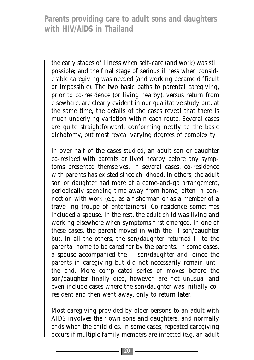the early stages of illness when self-care (and work) was still possible; and the final stage of serious illness when considerable caregiving was needed (and working became difficult or impossible). The two basic paths to parental caregiving, prior to co-residence (or living nearby), versus return from elsewhere, are clearly evident in our qualitative study but, at the same time, the details of the cases reveal that there is much underlying variation within each route. Several cases are quite straightforward, conforming neatly to the basic dichotomy, but most reveal varying degrees of complexity.

In over half of the cases studied, an adult son or daughter co-resided with parents or lived nearby before any symptoms presented themselves. In several cases, co-residence with parents has existed since childhood. In others, the adult son or daughter had more of a come-and-go arrangement, periodically spending time away from home, often in connection with work (e.g. as a fisherman or as a member of a travelling troupe of entertainers). Co-residence sometimes included a spouse. In the rest, the adult child was living and working elsewhere when symptoms first emerged. In one of these cases, the parent moved in with the ill son/daughter but, in all the others, the son/daughter returned ill to the parental home to be cared for by the parents. In some cases, a spouse accompanied the ill son/daughter and joined the parents in caregiving but did not necessarily remain until the end. More complicated series of moves before the son/daughter finally died, however, are not unusual and even include cases where the son/daughter was initially coresident and then went away, only to return later.

Most caregiving provided by older persons to an adult with AIDS involves their own sons and daughters, and normally ends when the child dies. In some cases, repeated caregiving occurs if multiple family members are infected (e.g. an adult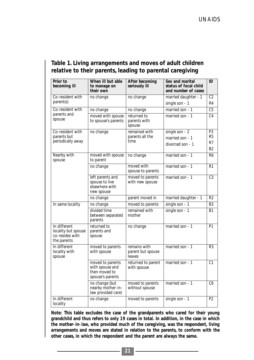| Prior to<br>becoming ill                                              | When ill but able<br>to manage on<br>their own                           | After becoming<br>seriously ill             | Sex and marital<br>status of focal child<br>and number of cases | ID                                                       |
|-----------------------------------------------------------------------|--------------------------------------------------------------------------|---------------------------------------------|-----------------------------------------------------------------|----------------------------------------------------------|
| Co-resident with                                                      | no change                                                                | no change                                   | married daughter - 1                                            | C <sub>2</sub>                                           |
| parent(s)                                                             |                                                                          |                                             | single son - 1                                                  | R <sub>4</sub>                                           |
| Co-resident with<br>parents and<br>spouse                             | no change                                                                | no change                                   | married son - 1                                                 | C <sub>5</sub>                                           |
|                                                                       | moved with spouse<br>to spouse's parents                                 | returned to<br>parents with<br>spouse       | married son - 1                                                 | C <sub>4</sub>                                           |
| Co-resident with<br>parents but<br>periodically away                  | no change                                                                | remained with<br>parents all the<br>time    | single son - 2<br>married son - 1<br>divorced son - 1           | P <sub>3</sub><br>R <sub>5</sub><br>R7<br>B <sub>2</sub> |
| Nearby with<br>spouse                                                 | moved with spouse<br>to parent                                           | no change                                   | married son - 1                                                 | R <sub>6</sub>                                           |
|                                                                       | no change                                                                | moved with<br>spouse to parents             | married son - 1                                                 | R1                                                       |
|                                                                       | left parents and<br>spouse to live<br>elsewhere with<br>new spouse       | moved to parents<br>with new spouse         | married son - 1                                                 | C <sub>3</sub>                                           |
|                                                                       | no change                                                                | parent moved in                             | married daughter - 1                                            | R <sub>2</sub>                                           |
| In same locality                                                      | no change                                                                | moved to parents                            | single son - 1                                                  | B <sub>3</sub>                                           |
|                                                                       | divided time<br>between separated<br>parents                             | remained with<br>mother                     | single son - 1                                                  | <b>B1</b>                                                |
| In different<br>locality but spouse<br>co-resides with<br>the parents | returned to<br>parents and<br>spouse                                     | no change                                   | married son - 1                                                 | P1                                                       |
| In different<br>locality with<br>spouse                               | moved to parents<br>with spouse                                          | remains with<br>parent but spouse<br>leaves | married son - 1                                                 | R3                                                       |
|                                                                       | moved to parents<br>with spouse and<br>then moved to<br>spouse's parents | returned to parent<br>with spouse           | married son - 1                                                 | C <sub>1</sub>                                           |
|                                                                       | no change (but<br>nearby mother-in-<br>law provided care)                | moved to parents<br>without spouse          | married son - 1                                                 | C6                                                       |
| In different<br>locality                                              | no change                                                                | moved to parents                            | single son - 1                                                  | P <sub>2</sub>                                           |

#### **Table 1. Living arrangements and moves of adult children relative to their parents, leading to parental caregiving**

**Note: This table excludes the case of the grandparents who cared for their young grandchild and thus refers to only 19 cases in total. In addition, in the case in which the mother-in-law, who provided much of the caregiving, was the respondent, living arrangements and moves are stated in relation to the parents, to conform with the other cases, in which the respondent and the parent are always the same.**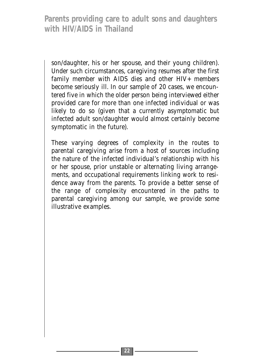son/daughter, his or her spouse, and their young children). Under such circumstances, caregiving resumes after the first family member with AIDS dies and other HIV+ members become seriously ill. In our sample of 20 cases, we encountered five in which the older person being interviewed either provided care for more than one infected individual or was likely to do so (given that a currently asymptomatic but infected adult son/daughter would almost certainly become symptomatic in the future).

These varying degrees of complexity in the routes to parental caregiving arise from a host of sources including the nature of the infected individual's relationship with his or her spouse, prior unstable or alternating living arrangements, and occupational requirements linking work to residence away from the parents. To provide a better sense of the range of complexity encountered in the paths to parental caregiving among our sample, we provide some illustrative examples.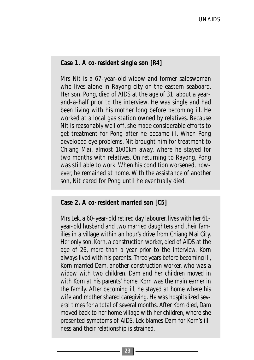### **Case 1. A co-resident single son [R4]**

Mrs Nit is a 67-year-old widow and former saleswoman who lives alone in Rayong city on the eastern seaboard. Her son, Pong, died of AIDS at the age of 31, about a yearand-a-half prior to the interview. He was single and had been living with his mother long before becoming ill. He worked at a local gas station owned by relatives. Because Nit is reasonably well off, she made considerable efforts to get treatment for Pong after he became ill. When Pong developed eye problems, Nit brought him for treatment to Chiang Mai, almost 1000km away, where he stayed for two months with relatives. On returning to Rayong, Pong was still able to work. When his condition worsened, however, he remained at home. With the assistance of another son, Nit cared for Pong until he eventually died.

#### **Case 2. A co-resident married son [C5]**

Mrs Lek, a 60-year-old retired day labourer, lives with her 61 year-old husband and two married daughters and their families in a village within an hour's drive from Chiang Mai City. Her only son, Korn, a construction worker, died of AIDS at the age of 26, more than a year prior to the interview. Korn always lived with his parents. Three years before becoming ill, Korn married Dam, another construction worker, who was a widow with two children. Dam and her children moved in with Korn at his parents' home. Korn was the main earner in the family. After becoming ill, he stayed at home where his wife and mother shared caregiving. He was hospitalized several times for a total of several months. After Korn died, Dam moved back to her home village with her children, where she presented symptoms of AIDS. Lek blames Dam for Korn's illness and their relationship is strained.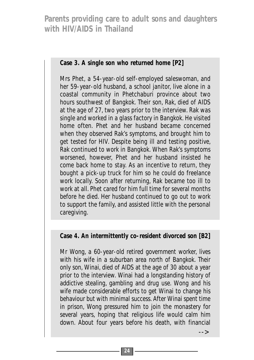**Case 3. A single son who returned home [P2]**

Mrs Phet, a 54-year-old self-employed saleswoman, and her 59-year-old husband, a school janitor, live alone in a coastal community in Phetchaburi province about two hours southwest of Bangkok. Their son, Rak, died of AIDS at the age of 27, two years prior to the interview. Rak was single and worked in a glass factory in Bangkok. He visited home often. Phet and her husband became concerned when they observed Rak's symptoms, and brought him to get tested for HIV. Despite being ill and testing positive, Rak continued to work in Bangkok. When Rak's symptoms worsened, however, Phet and her husband insisted he come back home to stay. As an incentive to return, they bought a pick-up truck for him so he could do freelance work locally. Soon after returning, Rak became too ill to work at all. Phet cared for him full time for several months before he died. Her husband continued to go out to work to support the family, and assisted little with the personal caregiving.

**Case 4. An intermittently co-resident divorced son [B2]**

Mr Wong, a 60-year-old retired government worker, lives with his wife in a suburban area north of Bangkok. Their only son, Winai, died of AIDS at the age of 30 about a year prior to the interview. Winai had a longstanding history of addictive stealing, gambling and drug use. Wong and his wife made considerable efforts to get Winai to change his behaviour but with minimal success. After Winai spent time in prison, Wong pressured him to join the monastery for several years, hoping that religious life would calm him down. About four years before his death, with financial

-->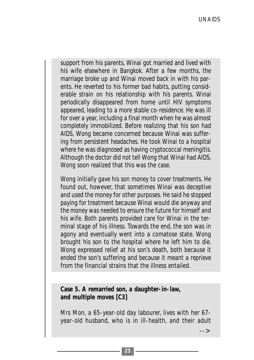support from his parents, Winai got married and lived with his wife elsewhere in Bangkok. After a few months, the marriage broke up and Winai moved back in with his parents. He reverted to his former bad habits, putting considerable strain on his relationship with his parents. Winai periodically disappeared from home until HIV symptoms appeared, leading to a more stable co-residence. He was ill for over a year, including a final month when he was almost completely immobilized. Before realizing that his son had AIDS, Wong became concerned because Winai was suffering from persistent headaches. He took Winai to a hospital where he was diagnosed as having cryptococcal meningitis. Although the doctor did not tell Wong that Winai had AIDS, Wong soon realized that this was the case.

Wong initially gave his son money to cover treatments. He found out, however, that sometimes Winai was deceptive and used the money for other purposes. He said he stopped paying for treatment because Winai would die anyway and the money was needed to ensure the future for himself and his wife. Both parents provided care for Winai in the terminal stage of his illness. Towards the end, the son was in agony and eventually went into a comatose state. Wong brought his son to the hospital where he left him to die. Wong expressed relief at his son's death, both because it ended the son's suffering and because it meant a reprieve from the financial strains that the illness entailed.

**Case 5. A remarried son, a daughter-in-law, and multiple moves [C3]**

Mrs Mon, a 65-year-old day labourer, lives with her 67 year-old husband, who is in ill-health, and their adult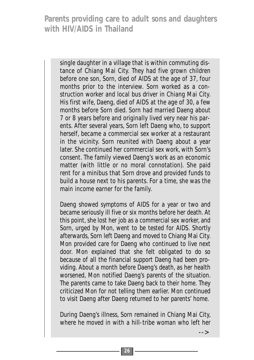single daughter in a village that is within commuting distance of Chiang Mai City. They had five grown children before one son, Sorn, died of AIDS at the age of 37, four months prior to the interview. Sorn worked as a construction worker and local bus driver in Chiang Mai City. His first wife, Daeng, died of AIDS at the age of 30, a few months before Sorn died. Sorn had married Daeng about 7 or 8 years before and originally lived very near his parents. After several years, Sorn left Daeng who, to support herself, became a commercial sex worker at a restaurant in the vicinity. Sorn reunited with Daeng about a year later. She continued her commercial sex work, with Sorn's consent. The family viewed Daeng's work as an economic matter (with little or no moral connotation). She paid rent for a minibus that Sorn drove and provided funds to build a house next to his parents. For a time, she was the main income earner for the family.

Daeng showed symptoms of AIDS for a year or two and became seriously ill five or six months before her death. At this point, she lost her job as a commercial sex worker, and Sorn, urged by Mon, went to be tested for AIDS. Shortly afterwards, Sorn left Daeng and moved to Chiang Mai City. Mon provided care for Daeng who continued to live next door. Mon explained that she felt obligated to do so because of all the financial support Daeng had been providing. About a month before Daeng's death, as her health worsened, Mon notified Daeng's parents of the situation. The parents came to take Daeng back to their home. They criticized Mon for not telling them earlier. Mon continued to visit Daeng after Daeng returned to her parents' home.

During Daeng's illness, Sorn remained in Chiang Mai City, where he moved in with a hill-tribe woman who left her

-->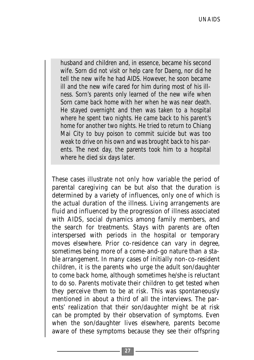husband and children and, in essence, became his second wife. Sorn did not visit or help care for Daeng, nor did he tell the new wife he had AIDS. However, he soon became ill and the new wife cared for him during most of his illness. Sorn's parents only learned of the new wife when Sorn came back home with her when he was near death. He stayed overnight and then was taken to a hospital where he spent two nights. He came back to his parent's home for another two nights. He tried to return to Chiang Mai City to buy poison to commit suicide but was too weak to drive on his own and was brought back to his parents. The next day, the parents took him to a hospital where he died six days later.

These cases illustrate not only how variable the period of parental caregiving can be but also that the duration is determined by a variety of influences, only one of which is the actual duration of the illness. Living arrangements are fluid and influenced by the progression of illness associated with AIDS, social dynamics among family members, and the search for treatments. Stays with parents are often interspersed with periods in the hospital or temporary moves elsewhere. Prior co-residence can vary in degree, sometimes being more of a come-and-go nature than a stable arrangement. In many cases of initially non-co-resident children, it is the parents who urge the adult son/daughter to come back home, although sometimes he/she is reluctant to do so. Parents motivate their children to get tested when they perceive them to be at risk. This was spontaneously mentioned in about a third of all the interviews. The parents' realization that their son/daughter might be at risk can be prompted by their observation of symptoms. Even when the son/daughter lives elsewhere, parents become aware of these symptoms because they see their offspring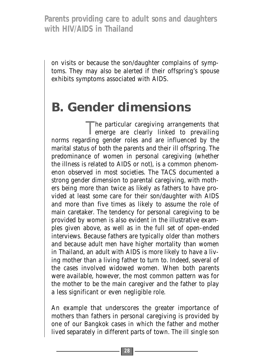on visits or because the son/daughter complains of symptoms. They may also be alerted if their offspring's spouse exhibits symptoms associated with AIDS.

### **B. Gender dimensions**

The particular caregiving arrangements that emerge are clearly linked to prevailing norms regarding gender roles and are influenced by the marital status of both the parents and their ill offspring. The predominance of women in personal caregiving (whether the illness is related to AIDS or not), is a common phenomenon observed in most societies. The TACS documented a strong gender dimension to parental caregiving, with mothers being more than twice as likely as fathers to have provided at least some care for their son/daughter with AIDS and more than five times as likely to assume the role of main caretaker. The tendency for personal caregiving to be provided by women is also evident in the illustrative examples given above, as well as in the full set of open-ended interviews. Because fathers are typically older than mothers and because adult men have higher mortality than women in Thailand, an adult with AIDS is more likely to have a living mother than a living father to turn to. Indeed, several of the cases involved widowed women. When both parents were available, however, the most common pattern was for the mother to be the main caregiver and the father to play a less significant or even negligible role.

An example that underscores the greater importance of mothers than fathers in personal caregiving is provided by one of our Bangkok cases in which the father and mother lived separately in different parts of town. The ill single son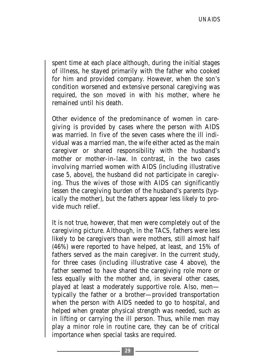spent time at each place although, during the initial stages of illness, he stayed primarily with the father who cooked for him and provided company. However, when the son's condition worsened and extensive personal caregiving was required, the son moved in with his mother, where he remained until his death.

Other evidence of the predominance of women in caregiving is provided by cases where the person with AIDS was married. In five of the seven cases where the ill individual was a married man, the wife either acted as the main caregiver or shared responsibility with the husband's mother or mother-in-law. In contrast, in the two cases involving married women with AIDS (including illustrative case 5, above), the husband did not participate in caregiving. Thus the wives of those with AIDS can significantly lessen the caregiving burden of the husband's parents (typically the mother), but the fathers appear less likely to provide much relief.

It is not true, however, that men were completely out of the caregiving picture. Although, in the TACS, fathers were less likely to be caregivers than were mothers, still almost half (46%) were reported to have helped, at least, and 15% of fathers served as the main caregiver. In the current study, for three cases (including illustrative case 4 above), the father seemed to have shared the caregiving role more or less equally with the mother and, in several other cases, played at least a moderately supportive role. Also, men typically the father or a brother—provided transportation when the person with AIDS needed to go to hospital, and helped when greater physical strength was needed, such as in lifting or carrying the ill person. Thus, while men may play a minor role in routine care, they can be of critical importance when special tasks are required.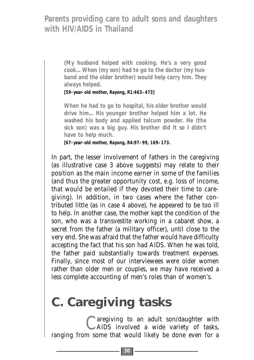**(My husband helped with cooking. He's a very good cook... When (my son) had to go to the doctor (my husband and the older brother) would help carry him. They always helped.** 

**[59-year-old mother, Rayong, R1:463–473]**

**When he had to go to hospital, his older brother would drive him... His younger brother helped him a lot. He washed his body and applied talcum powder. He (the sick son) was a big guy. His brother did it so I didn't have to help much.**

**[67-year-old mother, Rayong, R4:97–99, 169–173.**

In part, the lesser involvement of fathers in the caregiving (as illustrative case 3 above suggests) may relate to their position as the main income earner in some of the families (and thus the greater opportunity cost, e.g. loss of income, that would be entailed if they devoted their time to caregiving). In addition, in two cases where the father contributed little (as in case 4 above), he appeared to be too ill to help. In another case, the mother kept the condition of the son, who was a transvestite working in a cabaret show, a secret from the father (a military officer), until close to the very end. She was afraid that the father would have difficulty accepting the fact that his son had AIDS. When he was told, the father paid substantially towards treatment expenses. Finally, since most of our interviewees were older women rather than older men or couples, we may have received a less complete accounting of men's roles than of women's.

### **C. Caregiving tasks**

Caregiving to an adult son/daughter with AIDS involved a wide variety of tasks, ranging from some that would likely be done even for a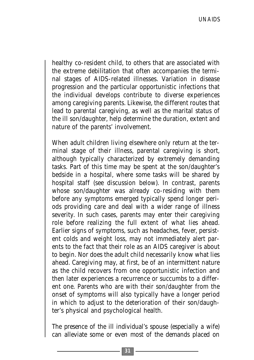healthy co-resident child, to others that are associated with the extreme debilitation that often accompanies the terminal stages of AIDS-related illnesses. Variation in disease progression and the particular opportunistic infections that the individual develops contribute to diverse experiences among caregiving parents. Likewise, the different routes that lead to parental caregiving, as well as the marital status of the ill son/daughter, help determine the duration, extent and nature of the parents' involvement.

When adult children living elsewhere only return at the terminal stage of their illness, parental caregiving is short, although typically characterized by extremely demanding tasks. Part of this time may be spent at the son/daughter's bedside in a hospital, where some tasks will be shared by hospital staff (see discussion below). In contrast, parents whose son/daughter was already co-residing with them before any symptoms emerged typically spend longer periods providing care and deal with a wider range of illness severity. In such cases, parents may enter their caregiving role before realizing the full extent of what lies ahead. Earlier signs of symptoms, such as headaches, fever, persistent colds and weight loss, may not immediately alert parents to the fact that their role as an AIDS caregiver is about to begin. Nor does the adult child necessarily know what lies ahead. Caregiving may, at first, be of an intermittent nature as the child recovers from one opportunistic infection and then later experiences a recurrence or succumbs to a different one. Parents who are with their son/daughter from the onset of symptoms will also typically have a longer period in which to adjust to the deterioration of their son/daughter's physical and psychological health.

The presence of the ill individual's spouse (especially a wife) can alleviate some or even most of the demands placed on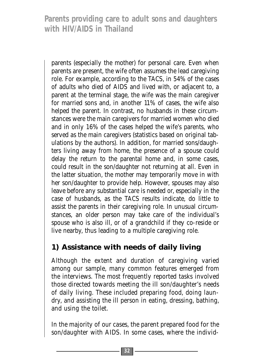parents (especially the mother) for personal care. Even when parents are present, the wife often assumes the lead caregiving role. For example, according to the TACS, in 54% of the cases of adults who died of AIDS and lived with, or adjacent to, a parent at the terminal stage, the wife was the main caregiver for married sons and, in another 11% of cases, the wife also helped the parent. In contrast, no husbands in these circumstances were the main caregivers for married women who died and in only 16% of the cases helped the wife's parents, who served as the main caregivers (statistics based on original tabulations by the authors). In addition, for married sons/daughters living away from home, the presence of a spouse could delay the return to the parental home and, in some cases, could result in the son/daughter not returning at all. Even in the latter situation, the mother may temporarily move in with her son/daughter to provide help. However, spouses may also leave before any substantial care is needed or, especially in the case of husbands, as the TACS results indicate, do little to assist the parents in their caregiving role. In unusual circumstances, an older person may take care of the individual's spouse who is also ill, or of a grandchild if they co-reside or live nearby, thus leading to a multiple caregiving role.

### **1) Assistance with needs of daily living**

Although the extent and duration of caregiving varied among our sample, many common features emerged from the interviews. The most frequently reported tasks involved those directed towards meeting the ill son/daughter's needs of daily living. These included preparing food, doing laundry, and assisting the ill person in eating, dressing, bathing, and using the toilet.

In the majority of our cases, the parent prepared food for the son/daughter with AIDS. In some cases, where the individ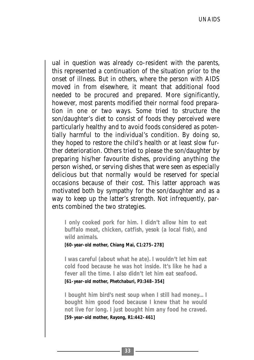ual in question was already co-resident with the parents, this represented a continuation of the situation prior to the onset of illness. But in others, where the person with AIDS moved in from elsewhere, it meant that additional food needed to be procured and prepared. More significantly, however, most parents modified their normal food preparation in one or two ways. Some tried to structure the son/daughter's diet to consist of foods they perceived were particularly healthy and to avoid foods considered as potentially harmful to the individual's condition. By doing so, they hoped to restore the child's health or at least slow further deterioration. Others tried to please the son/daughter by preparing his/her favourite dishes, providing anything the person wished, or serving dishes that were seen as especially delicious but that normally would be reserved for special occasions because of their cost. This latter approach was motivated both by sympathy for the son/daughter and as a way to keep up the latter's strength. Not infrequently, parents combined the two strategies.

**I only cooked pork for him. I didn't allow him to eat buffalo meat, chicken, catfish, yesok (a local fish), and wild animals.**

**[60-year-old mother, Chiang Mai, C1:275–278]**

**I was careful (about what he ate). I wouldn't let him eat cold food because he was hot inside. It's like he had a fever all the time. I also didn't let him eat seafood.** 

**[61-year-old mother, Phetchaburi, P3:348–354]**

**I bought him bird's nest soup when I still had money... I bought him good food because I knew that he would not live for long. I just bought him any food he craved. [59-year-old mother, Rayong, R1:442–461]**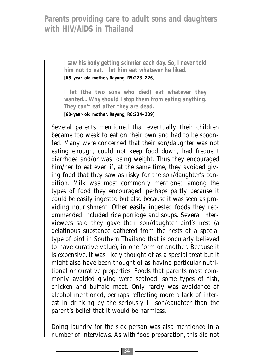**I saw his body getting skinnier each day. So, I never told him not to eat. I let him eat whatever he liked. [65-year-old mother, Rayong, R5:223–226]** 

**I let (the two sons who died) eat whatever they wanted... Why should I stop them from eating anything. They can't eat after they are dead. [60-year-old mother, Rayong, R6:234–239]** 

Several parents mentioned that eventually their children became too weak to eat on their own and had to be spoonfed. Many were concerned that their son/daughter was not eating enough, could not keep food down, had frequent diarrhoea and/or was losing weight. Thus they encouraged him/her to eat even if, at the same time, they avoided giving food that they saw as risky for the son/daughter's condition. Milk was most commonly mentioned among the types of food they encouraged, perhaps partly because it could be easily ingested but also because it was seen as providing nourishment. Other easily ingested foods they recommended included rice porridge and soups. Several interviewees said they gave their son/daughter bird's nest (a gelatinous substance gathered from the nests of a special type of bird in Southern Thailand that is popularly believed to have curative value), in one form or another. Because it is expensive, it was likely thought of as a special treat but it might also have been thought of as having particular nutritional or curative properties. Foods that parents most commonly avoided giving were seafood, some types of fish, chicken and buffalo meat. Only rarely was avoidance of alcohol mentioned, perhaps reflecting more a lack of interest in drinking by the seriously ill son/daughter than the parent's belief that it would be harmless.

Doing laundry for the sick person was also mentioned in a number of interviews. As with food preparation, this did not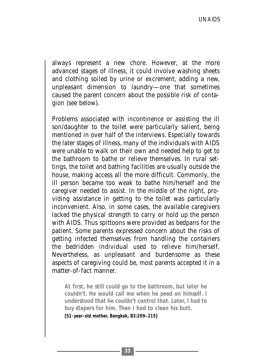always represent a new chore. However, at the more advanced stages of illness, it could involve washing sheets and clothing soiled by urine or excrement, adding a new, unpleasant dimension to laundry—one that sometimes caused the parent concern about the possible risk of contagion (see below).

Problems associated with incontinence or assisting the ill son/daughter to the toilet were particularly salient, being mentioned in over half of the interviews. Especially towards the later stages of illness, many of the individuals with AIDS were unable to walk on their own and needed help to get to the bathroom to bathe or relieve themselves. In rural settings, the toilet and bathing facilities are usually outside the house, making access all the more difficult. Commonly, the ill person became too weak to bathe him/herself and the caregiver needed to assist. In the middle of the night, providing assistance in getting to the toilet was particularly inconvenient. Also, in some cases, the available caregivers lacked the physical strength to carry or hold up the person with AIDS. Thus spittoons were provided as bedpans for the patient. Some parents expressed concern about the risks of getting infected themselves from handling the containers the bedridden individual used to relieve him/herself. Nevertheless, as unpleasant and burdensome as these aspects of caregiving could be, most parents accepted it in a matter-of-fact manner.

**At first, he still could go to the bathroom, but later he couldn't. He would call me when he peed on himself. I understood that he couldn't control that. Later, I had to buy diapers for him. Then I had to clean his butt.** 

**[51-year-old mother, Bangkok, B3:209–215]**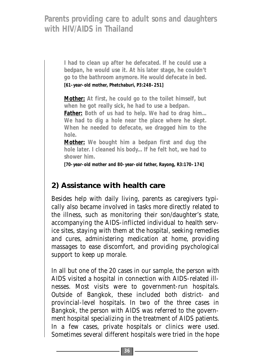**I had to clean up after he defecated. If he could use a bedpan, he would use it. At his later stage, he couldn't go to the bathroom anymore. He would defecate in bed. [61-year-old mother, Phetchaburi, P3:248–251]**

**Mother: At first, he could go to the toilet himself, but when he got really sick, he had to use a bedpan.** 

**Father: Both of us had to help. We had to drag him... We had to dig a hole near the place where he slept. When he needed to defecate, we dragged him to the hole.** 

**Mother: We bought him a bedpan first and dug the hole later. I cleaned his body... If he felt hot, we had to shower him.** 

**[70-year-old mother and 80-year-old father, Rayong, R3:170–174]**

### **2) Assistance with health care**

Besides help with daily living, parents as caregivers typically also became involved in tasks more directly related to the illness, such as monitoring their son/daughter's state, accompanying the AIDS-inflicted individual to health service sites, staying with them at the hospital, seeking remedies and cures, administering medication at home, providing massages to ease discomfort, and providing psychological support to keep up morale.

In all but one of the 20 cases in our sample, the person with AIDS visited a hospital in connection with AIDS-related illnesses. Most visits were to government-run hospitals. Outside of Bangkok, these included both district- and provincial-level hospitals. In two of the three cases in Bangkok, the person with AIDS was referred to the government hospital specializing in the treatment of AIDS patients. In a few cases, private hospitals or clinics were used. Sometimes several different hospitals were tried in the hope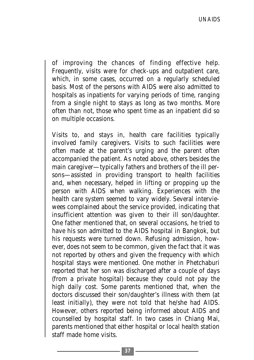of improving the chances of finding effective help. Frequently, visits were for check-ups and outpatient care, which, in some cases, occurred on a regularly scheduled basis. Most of the persons with AIDS were also admitted to hospitals as inpatients for varying periods of time, ranging from a single night to stays as long as two months. More often than not, those who spent time as an inpatient did so on multiple occasions.

Visits to, and stays in, health care facilities typically involved family caregivers. Visits to such facilities were often made at the parent's urging and the parent often accompanied the patient. As noted above, others besides the main caregiver—typically fathers and brothers of the ill persons—assisted in providing transport to health facilities and, when necessary, helped in lifting or propping up the person with AIDS when walking. Experiences with the health care system seemed to vary widely. Several interviewees complained about the service provided, indicating that insufficient attention was given to their ill son/daughter. One father mentioned that, on several occasions, he tried to have his son admitted to the AIDS hospital in Bangkok, but his requests were turned down. Refusing admission, however, does not seem to be common, given the fact that it was not reported by others and given the frequency with which hospital stays were mentioned. One mother in Phetchaburi reported that her son was discharged after a couple of days (from a private hospital) because they could not pay the high daily cost. Some parents mentioned that, when the doctors discussed their son/daughter's illness with them (at least initially), they were not told that he/she had AIDS. However, others reported being informed about AIDS and counselled by hospital staff. In two cases in Chiang Mai, parents mentioned that either hospital or local health station staff made home visits.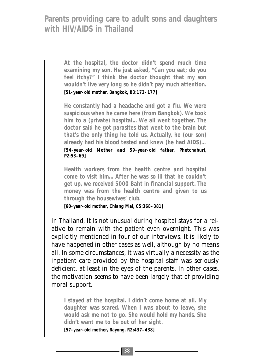**At the hospital, the doctor didn't spend much time examining my son. He just asked, "Can you eat; do you feel itchy?" I think the doctor thought that my son wouldn't live very long so he didn't pay much attention. [51-year-old mother, Bangkok, B3:172–177]** 

**He constantly had a headache and got a flu. We were suspicious when he came here (from Bangkok). We took him to a (private) hospital... We all went together. The doctor said he got parasites that went to the brain but that's the only thing he told us. Actually, he (our son) already had his blood tested and knew (he had AIDS)...** 

**[54-year-old Mother and 59-year-old father, Phetchaburi, P2:58–69]**

**Health workers from the health centre and hospital come to visit him... After he was so ill that he couldn't get up, we received 5000 Baht in financial support. The money was from the health centre and given to us through the housewives' club.** 

**[60-year-old mother, Chiang Mai, C5:368–381]**

In Thailand, it is not unusual during hospital stays for a relative to remain with the patient even overnight. This was explicitly mentioned in four of our interviews. It is likely to have happened in other cases as well, although by no means all. In some circumstances, it was virtually a necessity as the inpatient care provided by the hospital staff was seriously deficient, at least in the eyes of the parents. In other cases, the motivation seems to have been largely that of providing moral support.

**I stayed at the hospital. I didn't come home at all. My daughter was scared. When I was about to leave, she would ask me not to go. She would hold my hands. She didn't want me to be out of her sight.**

**[57-year-old mother, Rayong, R2:437–438]**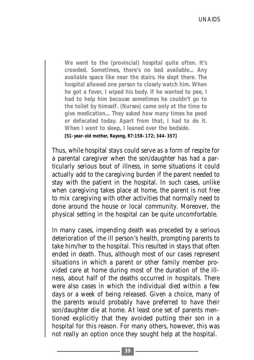**We went to the (provincial) hospital quite often. It's crowded. Sometimes, there's no bed available... Any available space like near the stairs. He slept there. The hospital allowed one person to closely watch him. When he got a fever, I wiped his body. If he wanted to pee, I had to help him because sometimes he couldn't go to the toilet by himself. (Nurses) came only at the time to give medication... They asked how many times he peed or defecated today. Apart from that, I had to do it. When I went to sleep, I leaned over the bedside. [51-year-old mother, Rayong, R7:158–172; 344–357]**

Thus, while hospital stays could serve as a form of respite for a parental caregiver when the son/daughter has had a particularly serious bout of illness, in some situations it could actually add to the caregiving burden if the parent needed to stay with the patient in the hospital. In such cases, unlike when caregiving takes place at home, the parent is not free to mix caregiving with other activities that normally need to done around the house or local community. Moreover, the physical setting in the hospital can be quite uncomfortable.

In many cases, impending death was preceded by a serious deterioration of the ill person's health, prompting parents to take him/her to the hospital. This resulted in stays that often ended in death. Thus, although most of our cases represent situations in which a parent or other family member provided care at home during most of the duration of the illness, about half of the deaths occurred in hospitals. There were also cases in which the individual died within a few days or a week of being released. Given a choice, many of the parents would probably have preferred to have their son/daughter die at home. At least one set of parents mentioned explicitly that they avoided putting their son in a hospital for this reason. For many others, however, this was not really an option once they sought help at the hospital.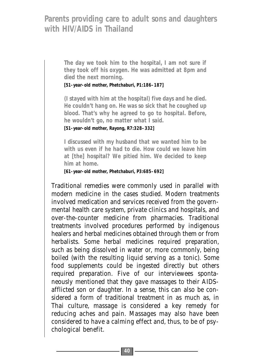**The day we took him to the hospital, I am not sure if they took off his oxygen. He was admitted at 8pm and died the next morning.** 

**[51-year-old mother, Phetchaburi, P1:186–187]**

**(I stayed with him at the hospital) five days and he died. He couldn't hang on. He was so sick that he coughed up blood. That's why he agreed to go to hospital. Before, he wouldn't go, no matter what I said.** 

**[51-year-old mother, Rayong, R7:328–332]**

**I discussed with my husband that we wanted him to be with us even if he had to die. How could we leave him at [the] hospital? We pitied him. We decided to keep him at home.** 

**[61-year-old mother, Phetchaburi, P3:685–692]**

Traditional remedies were commonly used in parallel with modern medicine in the cases studied. Modern treatments involved medication and services received from the governmental health care system, private clinics and hospitals, and over-the-counter medicine from pharmacies. Traditional treatments involved procedures performed by indigenous healers and herbal medicines obtained through them or from herbalists. Some herbal medicines required preparation, such as being dissolved in water or, more commonly, being boiled (with the resulting liquid serving as a tonic). Some food supplements could be ingested directly but others required preparation. Five of our interviewees spontaneously mentioned that they gave massages to their AIDSafflicted son or daughter. In a sense, this can also be considered a form of traditional treatment in as much as, in Thai culture, massage is considered a key remedy for reducing aches and pain. Massages may also have been considered to have a calming effect and, thus, to be of psychological benefit.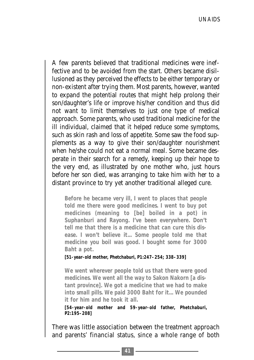A few parents believed that traditional medicines were ineffective and to be avoided from the start. Others became disillusioned as they perceived the effects to be either temporary or non-existent after trying them. Most parents, however, wanted to expand the potential routes that might help prolong their son/daughter's life or improve his/her condition and thus did not want to limit themselves to just one type of medical approach. Some parents, who used traditional medicine for the ill individual, claimed that it helped reduce some symptoms, such as skin rash and loss of appetite. Some saw the food supplements as a way to give their son/daughter nourishment when he/she could not eat a normal meal. Some became desperate in their search for a remedy, keeping up their hope to the very end, as illustrated by one mother who, just hours before her son died, was arranging to take him with her to a distant province to try yet another traditional alleged cure.

**Before he became very ill, I went to places that people told me there were good medicines. I went to buy pot medicines (meaning to [be] boiled in a pot) in Suphanburi and Rayong. I've been everywhere. Don't tell me that there is a medicine that can cure this disease. I won't believe it... Some people told me that medicine you boil was good. I bought some for 3000 Baht a pot.** 

**[51-year-old mother, Phetchaburi, P1:247–254; 338–339]**

**We went wherever people told us that there were good medicines. We went all the way to Sakon Nakorn [a distant province]. We got a medicine that we had to make into small pills. We paid 3000 Baht for it... We pounded it for him and he took it all.** 

**[54-year-old mother and 59-year-old father, Phetchaburi, P2:195–208]**

There was little association between the treatment approach and parents' financial status, since a whole range of both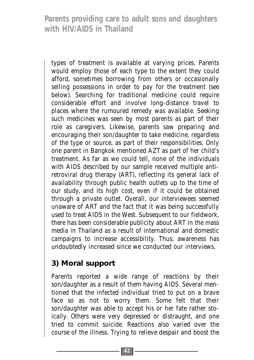types of treatment is available at varying prices. Parents would employ those of each type to the extent they could afford, sometimes borrowing from others or occasionally selling possessions in order to pay for the treatment (see below). Searching for traditional medicine could require considerable effort and involve long-distance travel to places where the rumoured remedy was available. Seeking such medicines was seen by most parents as part of their role as caregivers. Likewise, parents saw preparing and encouraging their son/daughter to take medicine, regardless of the type or source, as part of their responsibilities. Only one parent in Bangkok mentioned AZT as part of her child's treatment. As far as we could tell, none of the individuals with AIDS described by our sample received multiple antiretroviral drug therapy (ART), reflecting its general lack of availability through public health outlets up to the time of our study, and its high cost, even if it could be obtained through a private outlet. Overall, our interviewees seemed unaware of ART and the fact that it was being successfully used to treat AIDS in the West. Subsequent to our fieldwork, there has been considerable publicity about ART in the mass media in Thailand as a result of international and domestic campaigns to increase accessibility. Thus, awareness has undoubtedly increased since we conducted our interviews.

# **3) Moral support**

Parents reported a wide range of reactions by their son/daughter as a result of them having AIDS. Several mentioned that the infected individual tried to put on a brave face so as not to worry them. Some felt that their son/daughter was able to accept his or her fate rather stoically. Others were very depressed or distraught, and one tried to commit suicide. Reactions also varied over the course of the illness. Trying to relieve despair and boost the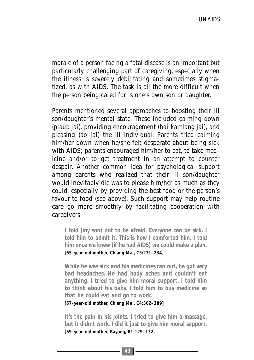morale of a person facing a fatal disease is an important but particularly challenging part of caregiving, especially when the illness is severely debilitating and sometimes stigmatized, as with AIDS. The task is all the more difficult when the person being cared for is one's own son or daughter.

Parents mentioned several approaches to boosting their ill son/daughter's mental state. These included calming down (*plaub jai*), providing encouragement (*hai kamlang jai*), and pleasing (*ao jai*) the ill individual. Parents tried calming him/her down when he/she felt desperate about being sick with AIDS; parents encouraged him/her to eat, to take medicine and/or to get treatment in an attempt to counter despair. Another common idea for psychological support among parents who realized that their ill son/daughter would inevitably die was to please him/her as much as they could, especially by providing the best food or the person's favourite food (see above). Such support may help routine care go more smoothly by facilitating cooperation with caregivers.

**I told (my son) not to be afraid. Everyone can be sick. I told him to admit it. This is how I comforted him. I told him once we knew (if he had AIDS) we could make a plan. [65-year-old mother, Chiang Mai, C3:231–234]**

**While he was sick and his medicines ran out, he got very bad headaches. He had body aches and couldn't eat anything. I tried to give him moral support. I told him to think about his baby. I told him to buy medicine so that he could eat and go to work.** 

**[67-year-old mother, Chiang Mai, C4:302–309]**

**It's the pain in his joints. I tried to give him a massage, but it didn't work. I did it just to give him moral support. [59-year-old mother, Rayong, R1:129–132.**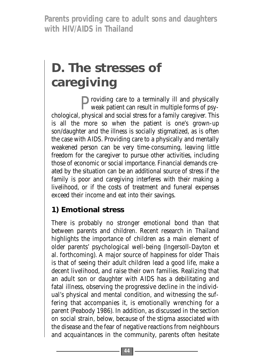# **D. The stresses of caregiving**

Providing care to a terminally ill and physically weak patient can result in multiple forms of psychological, physical and social stress for a family caregiver. This is all the more so when the patient is one's grown-up son/daughter and the illness is socially stigmatized, as is often the case with AIDS. Providing care to a physically and mentally weakened person can be very time-consuming, leaving little freedom for the caregiver to pursue other activities, including those of economic or social importance. Financial demands created by the situation can be an additional source of stress if the family is poor and caregiving interferes with their making a livelihood, or if the costs of treatment and funeral expenses exceed their income and eat into their savings.

# **1) Emotional stress**

There is probably no stronger emotional bond than that between parents and children. Recent research in Thailand highlights the importance of children as a main element of older parents' psychological well-being (Ingersoll-Dayton et al. forthcoming). A major source of happiness for older Thais is that of seeing their adult children lead a good life, make a decent livelihood, and raise their own families. Realizing that an adult son or daughter with AIDS has a debilitating and fatal illness, observing the progressive decline in the individual's physical and mental condition, and witnessing the suffering that accompanies it, is emotionally wrenching for a parent (Peabody 1986). In addition, as discussed in the section on social strain, below, because of the stigma associated with the disease and the fear of negative reactions from neighbours and acquaintances in the community, parents often hesitate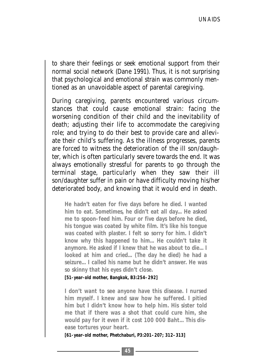to share their feelings or seek emotional support from their normal social network (Dane 1991). Thus, it is not surprising that psychological and emotional strain was commonly mentioned as an unavoidable aspect of parental caregiving.

During caregiving, parents encountered various circumstances that could cause emotional strain: facing the worsening condition of their child and the inevitability of death; adjusting their life to accommodate the caregiving role; and trying to do their best to provide care and alleviate their child's suffering. As the illness progresses, parents are forced to witness the deterioration of the ill son/daughter, which is often particularly severe towards the end. It was always emotionally stressful for parents to go through the terminal stage, particularly when they saw their ill son/daughter suffer in pain or have difficulty moving his/her deteriorated body, and knowing that it would end in death.

**He hadn't eaten for five days before he died. I wanted him to eat. Sometimes, he didn't eat all day... He asked me to spoon-feed him. Four or five days before he died, his tongue was coated by white film. It's like his tongue was coated with plaster. I felt so sorry for him. I didn't know why this happened to him... He couldn't take it anymore. He asked if I knew that he was about to die... I looked at him and cried... (The day he died) he had a seizure... I called his name but he didn't answer. He was so skinny that his eyes didn't close.**

**[51-year-old mother, Bangkok, B3:254–292]**

**I don't want to see anyone have this disease. I nursed him myself. I knew and saw how he suffered. I pitied him but I didn't know how to help him. His sister told me that if there was a shot that could cure him, she would pay for it even if it cost 100 000 Baht... This disease tortures your heart.**

**[61-year-old mother, Phetchaburi, P3:201–207; 312–313]**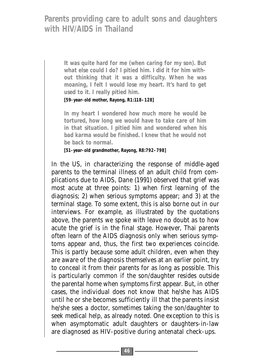**It was quite hard for me (when caring for my son). But what else could I do? I pitied him. I did it for him without thinking that it was a difficulty. When he was moaning, I felt I would lose my heart. It's hard to get used to it. I really pitied him.** 

**[59-year-old mother, Rayong, R1:118–128]**

**In my heart I wondered how much more he would be tortured, how long we would have to take care of him in that situation. I pitied him and wondered when his bad karma would be finished. I knew that he would not be back to normal.**

**[51-year-old grandmother, Rayong, R8:792–798]** 

In the US, in characterizing the response of middle-aged parents to the terminal illness of an adult child from complications due to AIDS, Dane (1991) observed that grief was most acute at three points: 1) when first learning of the diagnosis; 2) when serious symptoms appear; and 3) at the terminal stage. To some extent, this is also borne out in our interviews. For example, as illustrated by the quotations above, the parents we spoke with leave no doubt as to how acute the grief is in the final stage. However, Thai parents often learn of the AIDS diagnosis only when serious symptoms appear and, thus, the first two experiences coincide. This is partly because some adult children, even when they are aware of the diagnosis themselves at an earlier point, try to conceal it from their parents for as long as possible. This is particularly common if the son/daughter resides outside the parental home when symptoms first appear. But, in other cases, the individual does not know that he/she has AIDS until he or she becomes sufficiently ill that the parents insist he/she sees a doctor, sometimes taking the son/daughter to seek medical help, as already noted. One exception to this is when asymptomatic adult daughters or daughters-in-law are diagnosed as HIV-positive during antenatal check-ups.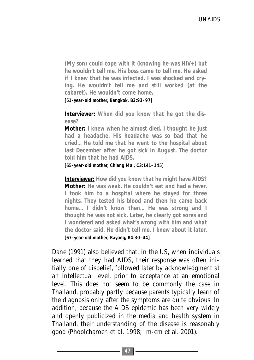**(My son) could cope with it (knowing he was HIV+) but he wouldn't tell me. His boss came to tell me. He asked if I knew that he was infected. I was shocked and crying. He wouldn't tell me and still worked (at the cabaret). He wouldn't come home.** 

**[51-year-old mother, Bangkok, B3:93–97]** 

**Interviewer: When did you know that he got the disease?** 

**Mother: I knew when he almost died. I thought he just had a headache. His headache was so bad that he cried... He told me that he went to the hospital about last December after he got sick in August. The doctor told him that he had AIDS.** 

**[65-year-old mother, Chiang Mai, C3:141–145]**

**Interviewer: How did you know that he might have AIDS? Mother: He was weak. He couldn't eat and had a fever. I took him to a hospital where he stayed for three nights. They tested his blood and then he came back home... I didn't know then... He was strong and I thought he was not sick. Later, he clearly got sores and I wondered and asked what's wrong with him and what the doctor said. He didn't tell me. I knew about it later.** 

**[67-year-old mother, Rayong, R4:30–44]**

Dane (1991) also believed that, in the US, when individuals learned that they had AIDS, their response was often initially one of disbelief, followed later by acknowledgment at an intellectual level, prior to acceptance at an emotional level. This does not seem to be commonly the case in Thailand, probably partly because parents typically learn of the diagnosis only after the symptoms are quite obvious. In addition, because the AIDS epidemic has been very widely and openly publicized in the media and health system in Thailand, their understanding of the disease is reasonably good (Phoolcharoen et al. 1998; Im-em et al. 2001).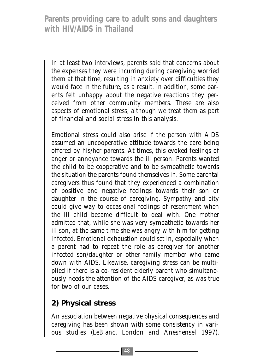In at least two interviews, parents said that concerns about the expenses they were incurring during caregiving worried them at that time, resulting in anxiety over difficulties they would face in the future, as a result. In addition, some parents felt unhappy about the negative reactions they perceived from other community members. These are also aspects of emotional stress, although we treat them as part of financial and social stress in this analysis.

Emotional stress could also arise if the person with AIDS assumed an uncooperative attitude towards the care being offered by his/her parents. At times, this evoked feelings of anger or annoyance towards the ill person. Parents wanted the child to be cooperative and to be sympathetic towards the situation the parents found themselves in. Some parental caregivers thus found that they experienced a combination of positive and negative feelings towards their son or daughter in the course of caregiving. Sympathy and pity could give way to occasional feelings of resentment when the ill child became difficult to deal with. One mother admitted that, while she was very sympathetic towards her ill son, at the same time she was angry with him for getting infected. Emotional exhaustion could set in, especially when a parent had to repeat the role as caregiver for another infected son/daughter or other family member who came down with AIDS. Likewise, caregiving stress can be multiplied if there is a co-resident elderly parent who simultaneously needs the attention of the AIDS caregiver, as was true for two of our cases.

# **2) Physical stress**

An association between negative physical consequences and caregiving has been shown with some consistency in various studies (LeBlanc, London and Aneshensel 1997).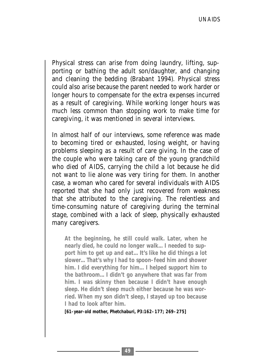Physical stress can arise from doing laundry, lifting, supporting or bathing the adult son/daughter, and changing and cleaning the bedding (Brabant 1994). Physical stress could also arise because the parent needed to work harder or longer hours to compensate for the extra expenses incurred as a result of caregiving. While working longer hours was much less common than stopping work to make time for caregiving, it was mentioned in several interviews.

In almost half of our interviews, some reference was made to becoming tired or exhausted, losing weight, or having problems sleeping as a result of care giving. In the case of the couple who were taking care of the young grandchild who died of AIDS, carrying the child a lot because he did not want to lie alone was very tiring for them. In another case, a woman who cared for several individuals with AIDS reported that she had only just recovered from weakness that she attributed to the caregiving. The relentless and time-consuming nature of caregiving during the terminal stage, combined with a lack of sleep, physically exhausted many caregivers.

**At the beginning, he still could walk. Later, when he nearly died, he could no longer walk... I needed to support him to get up and eat... It's like he did things a lot slower... That's why I had to spoon-feed him and shower him. I did everything for him... I helped support him to the bathroom... I didn't go anywhere that was far from him. I was skinny then because I didn't have enough sleep. He didn't sleep much either because he was worried. When my son didn't sleep, I stayed up too because I had to look after him.**

**[61-year-old mother, Phetchaburi, P3:162–177; 269–275]**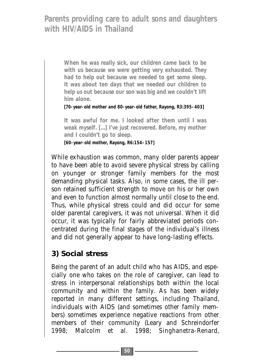> **When he was really sick, our children came back to be with us because we were getting very exhausted. They had to help out because we needed to get some sleep. It was about ten days that we needed our children to help us out because our son was big and we couldn't lift him alone.**

**[70-year-old mother and 80-year-old father, Rayong, R3:395–403]**

**It was awful for me. I looked after them until I was weak myself. [...] I've just recovered. Before, my mother and I couldn't go to sleep.**

**[60-year-old mother, Rayong, R6:154–157]**

While exhaustion was common, many older parents appear to have been able to avoid severe physical stress by calling on younger or stronger family members for the most demanding physical tasks. Also, in some cases, the ill person retained sufficient strength to move on his or her own and even to function almost normally until close to the end. Thus, while physical stress could and did occur for some older parental caregivers, it was not universal. When it did occur, it was typically for fairly abbreviated periods concentrated during the final stages of the individual's illness and did not generally appear to have long-lasting effects.

### **3) Social stress**

Being the parent of an adult child who has AIDS, and especially one who takes on the role of caregiver, can lead to stress in interpersonal relationships both within the local community and within the family. As has been widely reported in many different settings, including Thailand, individuals with AIDS (and sometimes other family members) sometimes experience negative reactions from other members of their community (Leary and Schreindorfer 1998; Malcolm et al. 1998; Singhanetra-Renard,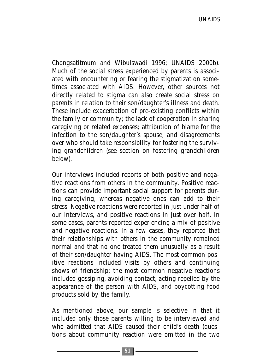Chongsatitmum and Wibulswadi 1996; UNAIDS 2000b). Much of the social stress experienced by parents is associated with encountering or fearing the stigmatization sometimes associated with AIDS. However, other sources not directly related to stigma can also create social stress on parents in relation to their son/daughter's illness and death. These include exacerbation of pre-existing conflicts within the family or community; the lack of cooperation in sharing caregiving or related expenses; attribution of blame for the infection to the son/daughter's spouse; and disagreements over who should take responsibility for fostering the surviving grandchildren (see section on fostering grandchildren below).

Our interviews included reports of both positive and negative reactions from others in the community. Positive reactions can provide important social support for parents during caregiving, whereas negative ones can add to their stress. Negative reactions were reported in just under half of our interviews, and positive reactions in just over half. In some cases, parents reported experiencing a mix of positive and negative reactions. In a few cases, they reported that their relationships with others in the community remained normal and that no one treated them unusually as a result of their son/daughter having AIDS. The most common positive reactions included visits by others and continuing shows of friendship; the most common negative reactions included gossiping, avoiding contact, acting repelled by the appearance of the person with AIDS, and boycotting food products sold by the family.

As mentioned above, our sample is selective in that it included only those parents willing to be interviewed and who admitted that AIDS caused their child's death (questions about community reaction were omitted in the two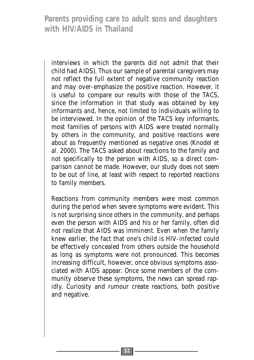interviews in which the parents did not admit that their child had AIDS). Thus our sample of parental caregivers may not reflect the full extent of negative community reaction and may over-emphasize the positive reaction. However, it is useful to compare our results with those of the TACS, since the information in that study was obtained by key informants and, hence, not limited to individuals willing to be interviewed. In the opinion of the TACS key informants, most families of persons with AIDS were treated normally by others in the community, and positive reactions were about as frequently mentioned as negative ones (Knodel et al. 2000). The TACS asked about reactions to the family and not specifically to the person with AIDS, so a direct comparison cannot be made. However, our study does not seem to be out of line, at least with respect to reported reactions to family members.

Reactions from community members were most common during the period when severe symptoms were evident. This is not surprising since others in the community, and perhaps even the person with AIDS and his or her family, often did not realize that AIDS was imminent. Even when the family knew earlier, the fact that one's child is HIV-infected could be effectively concealed from others outside the household as long as symptoms were not pronounced. This becomes increasing difficult, however, once obvious symptoms associated with AIDS appear. Once some members of the community observe these symptoms, the news can spread rapidly. Curiosity and rumour create reactions, both positive and negative.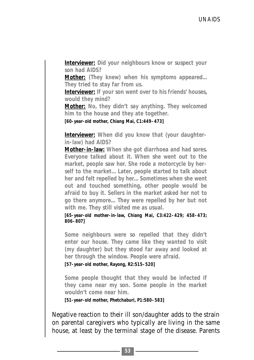**Interviewer: Did your neighbours know or suspect your son had AIDS?** 

**Mother: (They knew) when his symptoms appeared... They tried to stay far from us.** 

**Interviewer: If your son went over to his friends' houses, would they mind?** 

**Mother: No, they didn't say anything. They welcomed him to the house and they ate together.** 

**[60-year-old mother, Chiang Mai, C1:449–473]**

**Interviewer: When did you know that (your daughterin-law) had AIDS?**

**Mother-in-law: When she got diarrhoea and had sores. Everyone talked about it. When she went out to the market, people saw her. She rode a motorcycle by herself to the market... Later, people started to talk about her and felt repelled by her... Sometimes when she went out and touched something, other people would be afraid to buy it. Sellers in the market asked her not to go there anymore... They were repelled by her but not with me. They still visited me as usual.** 

**[65-year-old mother-in-law, Chiang Mai, C3:422–429; 458–473; 806–807]**

**Some neighbours were so repelled that they didn't enter our house. They came like they wanted to visit (my daughter) but they stood far away and looked at her through the window. People were afraid.** 

**[57-year-old mother, Rayong, R2:515–520]**

**Some people thought that they would be infected if they came near my son. Some people in the market wouldn't come near him.** 

**[51-year-old mother, Phetchaburi, P1:580–583]**

Negative reaction to their ill son/daughter adds to the strain on parental caregivers who typically are living in the same house, at least by the terminal stage of the disease. Parents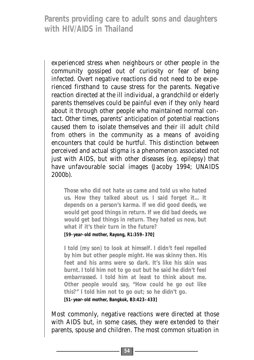experienced stress when neighbours or other people in the community gossiped out of curiosity or fear of being infected. Overt negative reactions did not need to be experienced firsthand to cause stress for the parents. Negative reaction directed at the ill individual, a grandchild or elderly parents themselves could be painful even if they only heard about it through other people who maintained normal contact. Other times, parents' anticipation of potential reactions caused them to isolate themselves and their ill adult child from others in the community as a means of avoiding encounters that could be hurtful. This distinction between perceived and actual stigma is a phenomenon associated not just with AIDS, but with other diseases (e.g. epilepsy) that have unfavourable social images (Jacoby 1994; UNAIDS 2000b).

**Those who did not hate us came and told us who hated us. How they talked about us. I said forget it... It depends on a person's karma. If we did good deeds, we would get good things in return. If we did bad deeds, we would get bad things in return. They hated us now, but what if it's their turn in the future?** 

**[59-year-old mother, Rayong, R1:359–370]**

**I told (my son) to look at himself. I didn't feel repelled by him but other people might. He was skinny then. His feet and his arms were so dark. It's like his skin was burnt. I told him not to go out but he said he didn't feel embarrassed. I told him at least to think about me. Other people would say, "How could he go out like this?" I told him not to go out; so he didn't go.** 

**[51-year-old mother, Bangkok, B3:423–433]**

Most commonly, negative reactions were directed at those with AIDS but, in some cases, they were extended to their parents, spouse and children. The most common situation in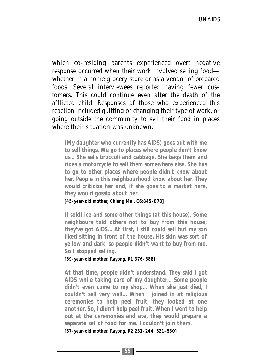which co-residing parents experienced overt negative response occurred when their work involved selling food whether in a home grocery store or as a vendor of prepared foods. Several interviewees reported having fewer customers. This could continue even after the death of the afflicted child. Responses of those who experienced this reaction included quitting or changing their type of work, or going outside the community to sell their food in places where their situation was unknown.

**(My daughter who currently has AIDS) goes out with me to sell things. We go to places where people don't know us... She sells broccoli and cabbage. She bags them and rides a motorcycle to sell them somewhere else. She has to go to other places where people didn't know about her. People in this neighbourhood know about her. They would criticize her and, if she goes to a market here, they would gossip about her.** 

#### **[45-year-old mother, Chiang Mai, C6:845–878]**

**(I sold) ice and some other things (at this house). Some neighbours told others not to buy from this house; they've got AIDS... At first, I still could sell but my son liked sitting in front of the house. His skin was sort of yellow and dark, so people didn't want to buy from me. So I stopped selling.**

#### **[59-year-old mother, Rayong, R1:376–388]**

**At that time, people didn't understand. They said I got AIDS while taking care of my daughter... Some people didn't even come to my shop... When she just died, I couldn't sell very well... When I joined in at religious ceremonies to help peel fruit, they looked at one another. So, I didn't help peel fruit. When I went to help out at the ceremonies and ate, they would prepare a separate set of food for me. I couldn't join them. [57-year-old mother, Rayong, R2:231–244; 521–530]**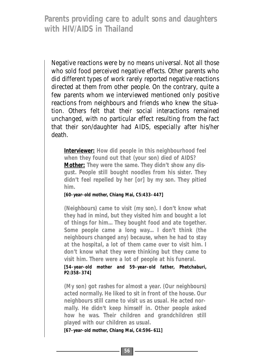Negative reactions were by no means universal. Not all those who sold food perceived negative effects. Other parents who did different types of work rarely reported negative reactions directed at them from other people. On the contrary, quite a few parents whom we interviewed mentioned only positive reactions from neighbours and friends who knew the situation. Others felt that their social interactions remained unchanged, with no particular effect resulting from the fact that their son/daughter had AIDS, especially after his/her death.

**Interviewer: How did people in this neighbourhood feel when they found out that (your son) died of AIDS? Mother: They were the same. They didn't show any disgust. People still bought noodles from his sister. They didn't feel repelled by her [or] by my son. They pitied him.** 

**[60-year-old mother, Chiang Mai, C5:433–447]**

**(Neighbours) came to visit (my son). I don't know what they had in mind, but they visited him and bought a lot of things for him... They bought food and ate together. Some people came a long way... I don't think (the neighbours changed any) because, when he had to stay at the hospital, a lot of them came over to visit him. I don't know what they were thinking but they came to visit him. There were a lot of people at his funeral.** 

**[54-year-old mother and 59-year-old father, Phetchaburi, P2:358–374]**

**(My son) got rashes for almost a year. (Our neighbours) acted normally. He liked to sit in front of the house. Our neighbours still came to visit us as usual. He acted normally. He didn't keep himself in. Other people asked how he was. Their children and grandchildren still played with our children as usual.** 

**[67-year-old mother, Chiang Mai, C4:596–611]**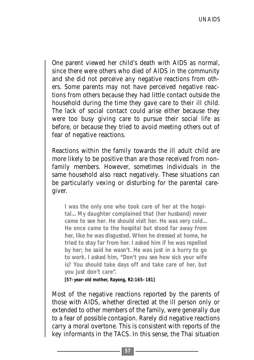One parent viewed her child's death with AIDS as normal, since there were others who died of AIDS in the community and she did not perceive any negative reactions from others. Some parents may not have perceived negative reactions from others because they had little contact outside the household during the time they gave care to their ill child. The lack of social contact could arise either because they were too busy giving care to pursue their social life as before, or because they tried to avoid meeting others out of fear of negative reactions.

Reactions within the family towards the ill adult child are more likely to be positive than are those received from nonfamily members. However, sometimes individuals in the same household also react negatively. These situations can be particularly vexing or disturbing for the parental caregiver.

**I was the only one who took care of her at the hospital... My daughter complained that (her husband) never came to see her. He should visit her. He was very cold... He once came to the hospital but stood far away from her, like he was disgusted. When he dressed at home, he tried to stay far from her. I asked him if he was repelled by her; he said he wasn't. He was just in a hurry to go to work. I asked him, "Don't you see how sick your wife is? You should take days off and take care of her, but you just don't care".** 

**[57-year-old mother, Rayong, R2:165–181]**

Most of the negative reactions reported by the parents of those with AIDS, whether directed at the ill person only or extended to other members of the family, were generally due to a fear of possible contagion. Rarely did negative reactions carry a moral overtone. This is consistent with reports of the key informants in the TACS. In this sense, the Thai situation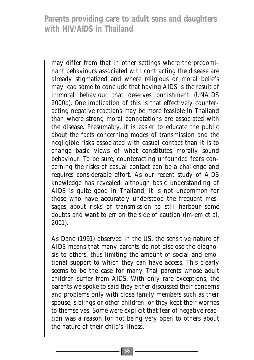may differ from that in other settings where the predominant behaviours associated with contracting the disease are already stigmatized and where religious or moral beliefs may lead some to conclude that having AIDS is the result of immoral behaviour that deserves punishment (UNAIDS 2000b). One implication of this is that effectively counteracting negative reactions may be more feasible in Thailand than where strong moral connotations are associated with the disease. Presumably, it is easier to educate the public about the facts concerning modes of transmission and the negligible risks associated with casual contact than it is to change basic views of what constitutes morally sound behaviour. To be sure, counteracting unfounded fears concerning the risks of casual contact can be a challenge and requires considerable effort. As our recent study of AIDS knowledge has revealed, although basic understanding of AIDS is quite good in Thailand, it is not uncommon for those who have accurately understood the frequent messages about risks of transmission to still harbour some doubts and want to err on the side of caution (Im-em et al. 2001).

As Dane (1991) observed in the US, the sensitive nature of AIDS means that many parents do not disclose the diagnosis to others, thus limiting the amount of social and emotional support to which they can have access. This clearly seems to be the case for many Thai parents whose adult children suffer from AIDS. With only rare exceptions, the parents we spoke to said they either discussed their concerns and problems only with close family members such as their spouse, siblings or other children, or they kept their worries to themselves. Some were explicit that fear of negative reaction was a reason for not being very open to others about the nature of their child's illness.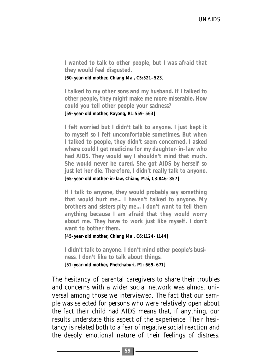**I wanted to talk to other people, but I was afraid that they would feel disgusted.** 

**[60-year-old mother, Chiang Mai, C5:521–523]** 

**I talked to my other sons and my husband. If I talked to other people, they might make me more miserable. How could you tell other people your sadness?** 

**[59-year-old mother, Rayong, R1:559–563]**

**I felt worried but I didn't talk to anyone. I just kept it to myself so I felt uncomfortable sometimes. But when I talked to people, they didn't seem concerned. I asked where could I get medicine for my daughter-in-law who had AIDS. They would say I shouldn't mind that much. She would never be cured. She got AIDS by herself so just let her die. Therefore, I didn't really talk to anyone.** 

**[65-year-old mother-in-law, Chiang Mai, C3:846–857]**

**If I talk to anyone, they would probably say something that would hurt me... I haven't talked to anyone. My brothers and sisters pity me... I don't want to tell them anything because I am afraid that they would worry about me. They have to work just like myself. I don't want to bother them.** 

**[45-year-old mother, Chiang Mai, C6:1124–1144]**

**I didn't talk to anyone. I don't mind other people's business. I don't like to talk about things. [51-year-old mother, Phetchaburi, P1: 669–671]**

The hesitancy of parental caregivers to share their troubles and concerns with a wider social network was almost universal among those we interviewed. The fact that our sample was selected for persons who were relatively open about the fact their child had AIDS means that, if anything, our results understate this aspect of the experience. Their hesitancy is related both to a fear of negative social reaction and the deeply emotional nature of their feelings of distress.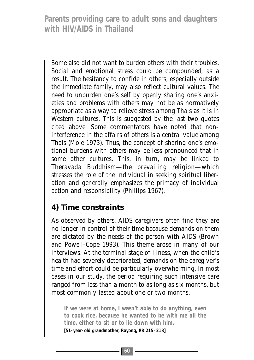Some also did not want to burden others with their troubles. Social and emotional stress could be compounded, as a result. The hesitancy to confide in others, especially outside the immediate family, may also reflect cultural values. The need to unburden one's self by openly sharing one's anxieties and problems with others may not be as normatively appropriate as a way to relieve stress among Thais as it is in Western cultures. This is suggested by the last two quotes cited above. Some commentators have noted that noninterference in the affairs of others is a central value among Thais (Mole 1973). Thus, the concept of sharing one's emotional burdens with others may be less pronounced that in some other cultures. This, in turn, may be linked to Theravada Buddhism—the prevailing religion—which stresses the role of the individual in seeking spiritual liberation and generally emphasizes the primacy of individual action and responsibility (Phillips 1967).

# **4) Time constraints**

As observed by others, AIDS caregivers often find they are no longer in control of their time because demands on them are dictated by the needs of the person with AIDS (Brown and Powell-Cope 1993). This theme arose in many of our interviews. At the terminal stage of illness, when the child's health had severely deteriorated, demands on the caregiver's time and effort could be particularly overwhelming. In most cases in our study, the period requiring such intensive care ranged from less than a month to as long as six months, but most commonly lasted about one or two months.

**If we were at home, I wasn't able to do anything, even to cook rice, because he wanted to be with me all the time, either to sit or to lie down with him. [51-year-old grandmother, Rayong, R8:215–218]**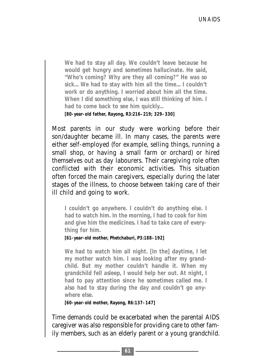**We had to stay all day. We couldn't leave because he would get hungry and sometimes hallucinate. He said, "Who's coming? Why are they all coming?" He was so sick... We had to stay with him all the time... I couldn't work or do anything. I worried about him all the time. When I did something else, I was still thinking of him. I had to come back to see him quickly... [80-year-old father, Rayong, R3:216–219; 329–330]**

Most parents in our study were working before their son/daughter became ill. In many cases, the parents were either self-employed (for example, selling things, running a small shop, or having a small farm or orchard) or hired themselves out as day labourers. Their caregiving role often conflicted with their economic activities. This situation often forced the main caregivers, especially during the later stages of the illness, to choose between taking care of their ill child and going to work.

**I couldn't go anywhere. I couldn't do anything else. I had to watch him. In the morning, I had to cook for him and give him the medicines. I had to take care of everything for him.** 

**[61-year-old mother, Phetchaburi, P3:188–192]**

**We had to watch him all night. [In the] daytime, I let my mother watch him. I was looking after my grandchild. But my mother couldn't handle it. When my grandchild fell asleep, I would help her out. At night, I had to pay attention since he sometimes called me. I also had to stay during the day and couldn't go anywhere else.** 

**[60-year-old mother, Rayong, R6:137–147]**

Time demands could be exacerbated when the parental AIDS caregiver was also responsible for providing care to other family members, such as an elderly parent or a young grandchild.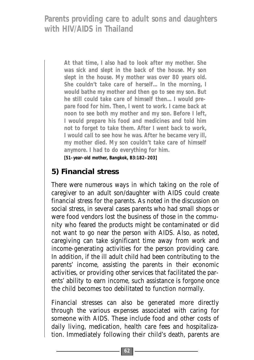> **At that time, I also had to look after my mother. She was sick and slept in the back of the house. My son slept in the house. My mother was over 80 years old. She couldn't take care of herself... In the morning, I would bathe my mother and then go to see my son. But he still could take care of himself then... I would prepare food for him. Then, I went to work. I came back at noon to see both my mother and my son. Before I left, I would prepare his food and medicines and told him not to forget to take them. After I went back to work, I would call to see how he was. After he became very ill, my mother died. My son couldn't take care of himself anymore. I had to do everything for him.**

**[51-year-old mother, Bangkok, B3:182–203]**

# **5) Financial stress**

There were numerous ways in which taking on the role of caregiver to an adult son/daughter with AIDS could create financial stress for the parents. As noted in the discussion on social stress, in several cases parents who had small shops or were food vendors lost the business of those in the community who feared the products might be contaminated or did not want to go near the person with AIDS. Also, as noted, caregiving can take significant time away from work and income-generating activities for the person providing care. In addition, if the ill adult child had been contributing to the parents' income, assisting the parents in their economic activities, or providing other services that facilitated the parents' ability to earn income, such assistance is forgone once the child becomes too debilitated to function normally.

Financial stresses can also be generated more directly through the various expenses associated with caring for someone with AIDS. These include food and other costs of daily living, medication, health care fees and hospitalization. Immediately following their child's death, parents are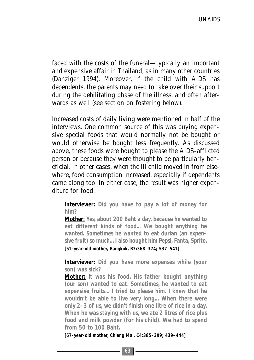faced with the costs of the funeral—typically an important and expensive affair in Thailand, as in many other countries (Danziger 1994). Moreover, if the child with AIDS has dependents, the parents may need to take over their support during the debilitating phase of the illness, and often afterwards as well (see section on fostering below).

Increased costs of daily living were mentioned in half of the interviews. One common source of this was buying expensive special foods that would normally not be bought or would otherwise be bought less frequently. As discussed above, these foods were bought to please the AIDS-afflicted person or because they were thought to be particularly beneficial. In other cases, when the ill child moved in from elsewhere, food consumption increased, especially if dependents came along too. In either case, the result was higher expenditure for food.

**Interviewer: Did you have to pay a lot of money for him?** 

**Mother: Yes, about 200 Baht a day, because he wanted to eat different kinds of food... We bought anything he wanted. Sometimes he wanted to eat durian (an expensive fruit) so much... I also bought him Pepsi, Fanta, Sprite. [51-year-old mother, Bangkok, B3:368–374; 537–541]**

**Interviewer: Did you have more expenses while (your son) was sick?** 

**Mother: It was his food. His father bought anything (our son) wanted to eat. Sometimes, he wanted to eat expensive fruits... I tried to please him. I knew that he wouldn't be able to live very long... When there were only 2–3 of us, we didn't finish one litre of rice in a day. When he was staying with us, we ate 2 litres of rice plus food and milk powder (for his child). We had to spend from 50 to 100 Baht.** 

**[67-year-old mother, Chiang Mai, C4:385–399; 439–444]**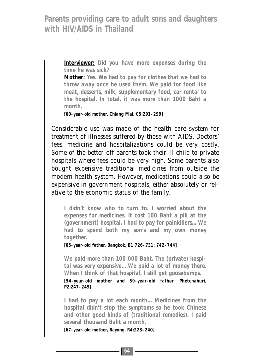> **Interviewer: Did you have more expenses during the time he was sick?**

> **Mother: Yes. We had to pay for clothes that we had to throw away once he used them. We paid for food like meat, desserts, milk, supplementary food, car rental to the hospital. In total, it was more than 1000 Baht a month.**

**[60-year-old mother, Chiang Mai, C5:291–299]**

Considerable use was made of the health care system for treatment of illnesses suffered by those with AIDS. Doctors' fees, medicine and hospitalizations could be very costly. Some of the better-off parents took their ill child to private hospitals where fees could be very high. Some parents also bought expensive traditional medicines from outside the modern health system. However, medications could also be expensive in government hospitals, either absolutely or relative to the economic status of the family.

**I didn't know who to turn to. I worried about the expenses for medicines. It cost 100 Baht a pill at the (government) hospital. I had to pay for painkillers... We had to spend both my son's and my own money together.** 

**[65-year-old father, Bangkok, B1:726–731; 742–744]**

**We paid more than 100 000 Baht. The (private) hospital was very expensive... We paid a lot of money there. When I think of that hospital, I still get goosebumps.** 

**[54-year-old mother and 59-year-old father, Phetchaburi, P2:247–249]**

**I had to pay a lot each month... Medicines from the hospital didn't stop the symptoms so he took Chinese and other good kinds of (traditional remedies). I paid several thousand Baht a month.** 

**[67-year-old mother, Rayong, R4:228–240]**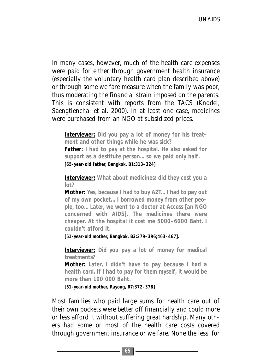In many cases, however, much of the health care expenses were paid for either through government health insurance (especially the voluntary health card plan described above) or through some welfare measure when the family was poor, thus moderating the financial strain imposed on the parents. This is consistent with reports from the TACS (Knodel, Saengtienchai et al. 2000). In at least one case, medicines were purchased from an NGO at subsidized prices.

**Interviewer: Did you pay a lot of money for his treatment and other things while he was sick? Father: I had to pay at the hospital. He also asked for support as a destitute person... so we paid only half.** 

**[65-year-old father, Bangkok, B1:313–324]**

**Interviewer: What about medicines: did they cost you a lot?**

**Mother: Yes, because I had to buy AZT... I had to pay out of my own pocket... I borrowed money from other people, too... Later, we went to a doctor at Access [an NGO concerned with AIDS]. The medicines there were cheaper. At the hospital it cost me 5000–6000 Baht. I couldn't afford it.**

**[51-year-old mother, Bangkok, B3:379–396;463–467].** 

**Interviewer: Did you pay a lot of money for medical treatments?**

**Mother: Later, I didn't have to pay because I had a health card. If I had to pay for them myself, it would be more than 100 000 Baht.**

**[51-year-old mother, Rayong, R7:372–378]**

Most families who paid large sums for health care out of their own pockets were better off financially and could more or less afford it without suffering great hardship. Many others had some or most of the health care costs covered through government insurance or welfare. None the less, for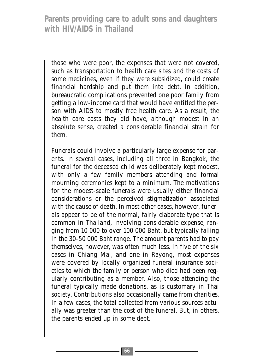those who were poor, the expenses that were not covered, such as transportation to health care sites and the costs of some medicines, even if they were subsidized, could create financial hardship and put them into debt. In addition, bureaucratic complications prevented one poor family from getting a low-income card that would have entitled the person with AIDS to mostly free health care. As a result, the health care costs they did have, although modest in an absolute sense, created a considerable financial strain for them.

Funerals could involve a particularly large expense for parents. In several cases, including all three in Bangkok, the funeral for the deceased child was deliberately kept modest, with only a few family members attending and formal mourning ceremonies kept to a minimum. The motivations for the modest-scale funerals were usually either financial considerations or the perceived stigmatization associated with the cause of death. In most other cases, however, funerals appear to be of the normal, fairly elaborate type that is common in Thailand, involving considerable expense, ranging from 10 000 to over 100 000 Baht, but typically falling in the 30-50 000 Baht range. The amount parents had to pay themselves, however, was often much less. In five of the six cases in Chiang Mai, and one in Rayong, most expenses were covered by locally organized funeral insurance societies to which the family or person who died had been regularly contributing as a member. Also, those attending the funeral typically made donations, as is customary in Thai society. Contributions also occasionally came from charities. In a few cases, the total collected from various sources actually was greater than the cost of the funeral. But, in others, the parents ended up in some debt.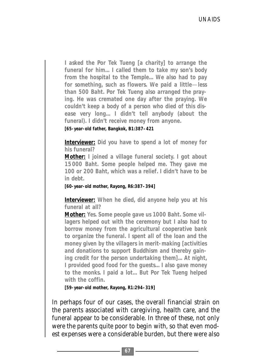**I asked the Por Tek Tueng [a charity] to arrange the funeral for him... I called them to take my son's body from the hospital to the Temple... We also had to pay for something, such as flowers. We paid a little**—**less than 500 Baht. Por Tek Tueng also arranged the praying. He was cremated one day after the praying. We couldn't keep a body of a person who died of this disease very long... I didn't tell anybody (about the funeral). I didn't receive money from anyone.** 

**[65-year-old father, Bangkok, B1:387–421**

**Interviewer: Did you have to spend a lot of money for his funeral?**

**Mother: I joined a village funeral society. I got about 15000 Baht. Some people helped me. They gave me 100 or 200 Baht, which was a relief. I didn't have to be in debt.**

**[60-year-old mother, Rayong, R6:387–394]**

**Interviewer: When he died, did anyone help you at his funeral at all?** 

**Mother: Yes. Some people gave us 1000 Baht. Some villagers helped out with the ceremony but I also had to borrow money from the agricultural cooperative bank to organize the funeral. I spent all of the loan and the money given by the villagers in merit-making [activities and donations to support Buddhism and thereby gaining credit for the person undertaking them]... At night, I provided good food for the guests... I also gave money to the monks. I paid a lot... But Por Tek Tueng helped with the coffin.**

**[59-year-old mother, Rayong, R1:294–319]**

In perhaps four of our cases, the overall financial strain on the parents associated with caregiving, health care, and the funeral appear to be considerable. In three of these, not only were the parents quite poor to begin with, so that even modest expenses were a considerable burden, but there were also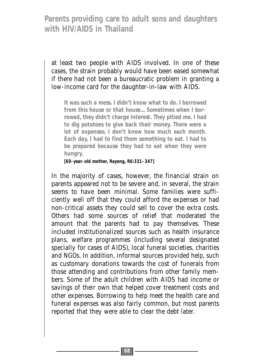at least two people with AIDS involved. In one of these cases, the strain probably would have been eased somewhat if there had not been a bureaucratic problem in granting a low-income card for the daughter-in-law with AIDS.

**It was such a mess. I didn't know what to do. I borrowed from this house or that house... Sometimes when I borrowed, they didn't charge interest. They pitied me. I had to dig potatoes to give back their money. There were a lot of expenses. I don't know how much each month. Each day, I had to find them something to eat. I had to be prepared because they had to eat when they were hungry.** 

**[60-year-old mother, Rayong, R6:331–347]**

In the majority of cases, however, the financial strain on parents appeared not to be severe and, in several, the strain seems to have been minimal. Some families were sufficiently well off that they could afford the expenses or had non-critical assets they could sell to cover the extra costs. Others had some sources of relief that moderated the amount that the parents had to pay themselves. These included institutionalized sources such as health insurance plans, welfare programmes (including several designated specially for cases of AIDS), local funeral societies, charities and NGOs. In addition, informal sources provided help, such as customary donations towards the cost of funerals from those attending and contributions from other family members. Some of the adult children with AIDS had income or savings of their own that helped cover treatment costs and other expenses. Borrowing to help meet the health care and funeral expenses was also fairly common, but most parents reported that they were able to clear the debt later.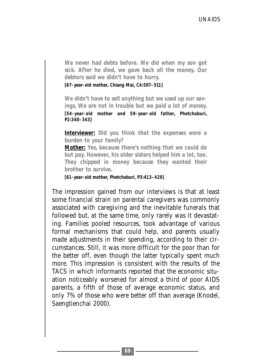**We never had debts before. We did when my son got sick. After he died, we gave back all the money. Our debtors said we didn't have to hurry.** 

**[67-year-old mother, Chiang Mai, C4:507–511]**

**We didn't have to sell anything but we used up our savings. We are not in trouble but we paid a lot of money. [54-year-old mother and 59-year-old father, Phetchaburi, P2:340–343]** 

**Interviewer: Did you think that the expenses were a burden to your family?** 

**Mother: Yes, because there's nothing that we could do but pay. However, his older sisters helped him a lot, too. They chipped in money because they wanted their brother to survive.** 

**[61-year-old mother, Phetchaburi, P3:413–420]**

The impression gained from our interviews is that at least some financial strain on parental caregivers was commonly associated with caregiving and the inevitable funerals that followed but, at the same time, only rarely was it devastating. Families pooled resources, took advantage of various formal mechanisms that could help, and parents usually made adjustments in their spending, according to their circumstances. Still, it was more difficult for the poor than for the better off, even though the latter typically spent much more. This impression is consistent with the results of the TACS in which informants reported that the economic situation noticeably worsened for almost a third of poor AIDS parents, a fifth of those of average economic status, and only 7% of those who were better off than average (Knodel, Saengtienchai 2000).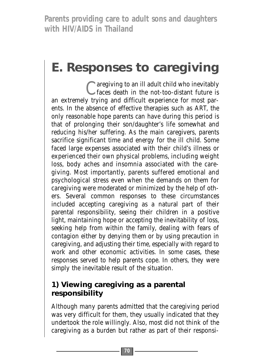# **E. Responses to caregiving**

C are giving to an ill adult child who inevitably<br>
C faces death in the not-too-distant future is an extremely trying and difficult experience for most parents. In the absence of effective therapies such as ART, the only reasonable hope parents can have during this period is that of prolonging their son/daughter's life somewhat and reducing his/her suffering. As the main caregivers, parents sacrifice significant time and energy for the ill child. Some faced large expenses associated with their child's illness or experienced their own physical problems, including weight loss, body aches and insomnia associated with the caregiving. Most importantly, parents suffered emotional and psychological stress even when the demands on them for caregiving were moderated or minimized by the help of others. Several common responses to these circumstances included accepting caregiving as a natural part of their parental responsibility, seeing their children in a positive light, maintaining hope or accepting the inevitability of loss, seeking help from within the family, dealing with fears of contagion either by denying them or by using precaution in caregiving, and adjusting their time, especially with regard to work and other economic activities. In some cases, these responses served to help parents cope. In others, they were simply the inevitable result of the situation.

### **1) Viewing caregiving as a parental responsibility**

Although many parents admitted that the caregiving period was very difficult for them, they usually indicated that they undertook the role willingly. Also, most did not think of the caregiving as a burden but rather as part of their responsi-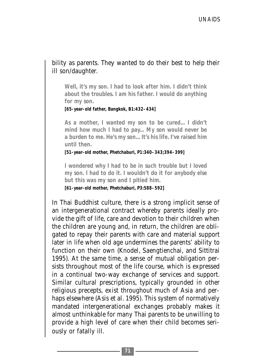#### bility as parents. They wanted to do their best to help their ill son/daughter.

**Well, it's my son. I had to look after him. I didn't think about the troubles. I am his father. I would do anything for my son.**

**[65-year-old father, Bangkok, B1:432–434]**

**As a mother, I wanted my son to be cured... I didn't mind how much I had to pay... My son would never be a burden to me. He's my son... It's his life. I've raised him until then.**

**[51-year-old mother, Phetchaburi, P1:340–343;394–399]**

**I wondered why I had to be in such trouble but I loved my son. I had to do it. I wouldn't do it for anybody else but this was my son and I pitied him.** 

**[61-year-old mother, Phetchaburi, P3:588–592]**

In Thai Buddhist culture, there is a strong implicit sense of an intergenerational contract whereby parents ideally provide the gift of life, care and devotion to their children when the children are young and, in return, the children are obligated to repay their parents with care and material support later in life when old age undermines the parents' ability to function on their own (Knodel, Saengtienchai, and Sittitrai 1995). At the same time, a sense of mutual obligation persists throughout most of the life course, which is expressed in a continual two-way exchange of services and support. Similar cultural prescriptions, typically grounded in other religious precepts, exist throughout much of Asia and perhaps elsewhere (Asis et al. 1995). This system of normatively mandated intergenerational exchanges probably makes it almost unthinkable for many Thai parents to be unwilling to provide a high level of care when their child becomes seriously or fatally ill.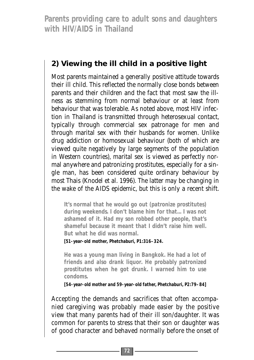#### **2) Viewing the ill child in a positive light**

Most parents maintained a generally positive attitude towards their ill child. This reflected the normally close bonds between parents and their children and the fact that most saw the illness as stemming from normal behaviour or at least from behaviour that was tolerable. As noted above, most HIV infection in Thailand is transmitted through heterosexual contact, typically through commercial sex patronage for men and through marital sex with their husbands for women. Unlike drug addiction or homosexual behaviour (both of which are viewed quite negatively by large segments of the population in Western countries), marital sex is viewed as perfectly normal anywhere and patronizing prostitutes, especially for a single man, has been considered quite ordinary behaviour by most Thais (Knodel et al. 1996). The latter may be changing in the wake of the AIDS epidemic, but this is only a recent shift.

**It's normal that he would go out (patronize prostitutes) during weekends. I don't blame him for that... I was not ashamed of it. Had my son robbed other people, that's shameful because it meant that I didn't raise him well. But what he did was normal.** 

**[51-year-old mother, Phetchaburi, P1:316–324.**

**He was a young man living in Bangkok. He had a lot of friends and also drank liquor. He probably patronized prostitutes when he got drunk. I warned him to use condoms.**

**[54-year-old mother and 59-year-old father, Phetchaburi, P2:79–84]**

Accepting the demands and sacrifices that often accompanied caregiving was probably made easier by the positive view that many parents had of their ill son/daughter. It was common for parents to stress that their son or daughter was of good character and behaved normally before the onset of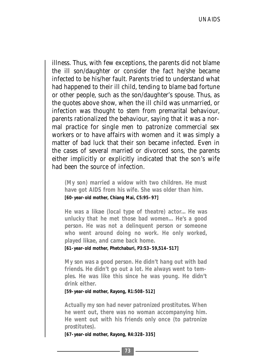illness. Thus, with few exceptions, the parents did not blame the ill son/daughter or consider the fact he/she became infected to be his/her fault. Parents tried to understand what had happened to their ill child, tending to blame bad fortune or other people, such as the son/daughter's spouse. Thus, as the quotes above show, when the ill child was unmarried, or infection was thought to stem from premarital behaviour, parents rationalized the behaviour, saying that it was a normal practice for single men to patronize commercial sex workers or to have affairs with women and it was simply a matter of bad luck that their son became infected. Even in the cases of several married or divorced sons, the parents either implicitly or explicitly indicated that the son's wife had been the source of infection.

**(My son) married a widow with two children. He must have got AIDS from his wife. She was older than him. [60-year-old mother, Chiang Mai, C5:95–97]**

**He was a** *likae* **(local type of theatre) actor... He was unlucky that he met those bad women... He's a good person. He was not a delinquent person or someone who went around doing no work. He only worked, played** *likae***, and came back home.**

**[61-year-old mother, Phetchaburi, P3:53–59,514–517]** 

**My son was a good person. He didn't hang out with bad friends. He didn't go out a lot. He always went to temples. He was like this since he was young. He didn't drink either.** 

**[59-year-old mother, Rayong, R1:508–512]**

**Actually my son had never patronized prostitutes. When he went out, there was no woman accompanying him. He went out with his friends only once (to patronize prostitutes).** 

**[67-year-old mother, Rayong, R4:328–335]**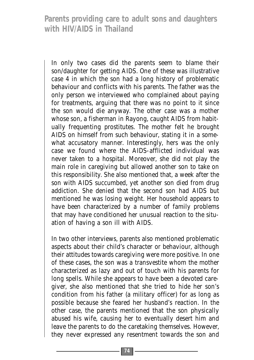In only two cases did the parents seem to blame their son/daughter for getting AIDS. One of these was illustrative case 4 in which the son had a long history of problematic behaviour and conflicts with his parents. The father was the only person we interviewed who complained about paying for treatments, arguing that there was no point to it since the son would die anyway. The other case was a mother whose son, a fisherman in Rayong, caught AIDS from habitually frequenting prostitutes. The mother felt he brought AIDS on himself from such behaviour, stating it in a somewhat accusatory manner. Interestingly, hers was the only case we found where the AIDS-afflicted individual was never taken to a hospital. Moreover, she did not play the main role in caregiving but allowed another son to take on this responsibility. She also mentioned that, a week after the son with AIDS succumbed, yet another son died from drug addiction. She denied that the second son had AIDS but mentioned he was losing weight. Her household appears to have been characterized by a number of family problems that may have conditioned her unusual reaction to the situation of having a son ill with AIDS.

In two other interviews, parents also mentioned problematic aspects about their child's character or behaviour, although their attitudes towards caregiving were more positive. In one of these cases, the son was a transvestite whom the mother characterized as lazy and out of touch with his parents for long spells. While she appears to have been a devoted caregiver, she also mentioned that she tried to hide her son's condition from his father (a military officer) for as long as possible because she feared her husband's reaction. In the other case, the parents mentioned that the son physically abused his wife, causing her to eventually desert him and leave the parents to do the caretaking themselves. However, they never expressed any resentment towards the son and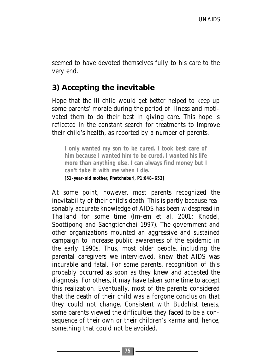seemed to have devoted themselves fully to his care to the very end.

#### **3) Accepting the inevitable**

Hope that the ill child would get better helped to keep up some parents' morale during the period of illness and motivated them to do their best in giving care. This hope is reflected in the constant search for treatments to improve their child's health, as reported by a number of parents.

**I only wanted my son to be cured. I took best care of him because I wanted him to be cured. I wanted his life more than anything else. I can always find money but I can't take it with me when I die.** 

**[51-year-old mother, Phetchaburi, P1:648–653]**

At some point, however, most parents recognized the inevitability of their child's death. This is partly because reasonably accurate knowledge of AIDS has been widespread in Thailand for some time (Im-em et al. 2001; Knodel, Soottipong and Saengtienchai 1997). The government and other organizations mounted an aggressive and sustained campaign to increase public awareness of the epidemic in the early 1990s. Thus, most older people, including the parental caregivers we interviewed, knew that AIDS was incurable and fatal. For some parents, recognition of this probably occurred as soon as they knew and accepted the diagnosis. For others, it may have taken some time to accept this realization. Eventually, most of the parents considered that the death of their child was a forgone conclusion that they could not change. Consistent with Buddhist tenets, some parents viewed the difficulties they faced to be a consequence of their own or their children's karma and, hence, something that could not be avoided.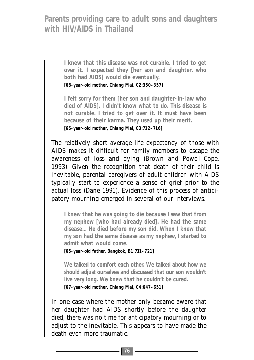**I knew that this disease was not curable. I tried to get over it. I expected they [her son and daughter, who both had AIDS] would die eventually.** 

**[68-year-old mother, Chiang Mai, C2:350–357]**

**I felt sorry for them [her son and daughter-in-law who died of AIDS]. I didn't know what to do. This disease is not curable. I tried to get over it. It must have been because of their karma. They used up their merit. [65-year-old mother, Chiang Mai, C3:712–716]**

The relatively short average life expectancy of those with AIDS makes it difficult for family members to escape the awareness of loss and dying (Brown and Powell-Cope, 1993). Given the recognition that death of their child is inevitable, parental caregivers of adult children with AIDS typically start to experience a sense of grief prior to the actual loss (Dane 1991). Evidence of this process of anticipatory mourning emerged in several of our interviews.

**I knew that he was going to die because I saw that from my nephew [who had already died]. He had the same disease... He died before my son did. When I knew that my son had the same disease as my nephew, I started to admit what would come.** 

**[65-year-old father, Bangkok, B1:711–721]**

**We talked to comfort each other. We talked about how we should adjust ourselves and discussed that our son wouldn't live very long. We knew that he couldn't be cured.**

**[67-year-old mother, Chiang Mai, C4:647–651]**

In one case where the mother only became aware that her daughter had AIDS shortly before the daughter died, there was no time for anticipatory mourning or to adjust to the inevitable. This appears to have made the death even more traumatic.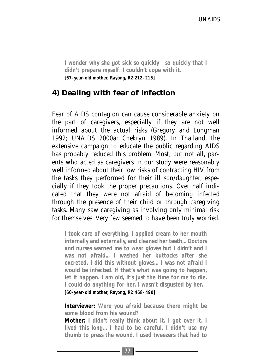**I wonder why she got sick so quickly**—**so quickly that I didn't prepare myself. I couldn't cope with it. [67-year-old mother, Rayong, R2:212–215]**

#### **4) Dealing with fear of infection**

Fear of AIDS contagion can cause considerable anxiety on the part of caregivers, especially if they are not well informed about the actual risks (Gregory and Longman 1992; UNAIDS 2000a; Chekryn 1989). In Thailand, the extensive campaign to educate the public regarding AIDS has probably reduced this problem. Most, but not all, parents who acted as caregivers in our study were reasonably well informed about their low risks of contracting HIV from the tasks they performed for their ill son/daughter, especially if they took the proper precautions. Over half indicated that they were not afraid of becoming infected through the presence of their child or through caregiving tasks. Many saw caregiving as involving only minimal risk for themselves. Very few seemed to have been truly worried.

**I took care of everything. I applied cream to her mouth internally and externally, and cleaned her teeth... Doctors and nurses warned me to wear gloves but I didn't and I was not afraid... I washed her buttocks after she excreted. I did this without gloves... I was not afraid I would be infected. If that's what was going to happen, let it happen. I am old, it's just the time for me to die. I could do anything for her. I wasn't disgusted by her.**

**[60-year-old mother, Rayong, R2:468–490]**

**Interviewer: Were you afraid because there might be some blood from his wound?**

**Mother: I didn't really think about it. I got over it. I lived this long... I had to be careful. I didn't use my thumb to press the wound. I used tweezers that had to**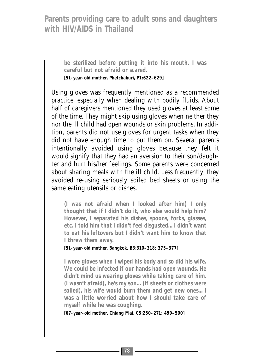**be sterilized before putting it into his mouth. I was careful but not afraid or scared. [51-year-old mother, Phetchaburi, P1:622–629]**

Using gloves was frequently mentioned as a recommended practice, especially when dealing with bodily fluids. About half of caregivers mentioned they used gloves at least some of the time. They might skip using gloves when neither they nor the ill child had open wounds or skin problems. In addition, parents did not use gloves for urgent tasks when they did not have enough time to put them on. Several parents intentionally avoided using gloves because they felt it would signify that they had an aversion to their son/daughter and hurt his/her feelings. Some parents were concerned about sharing meals with the ill child. Less frequently, they avoided re-using seriously soiled bed sheets or using the same eating utensils or dishes.

**(I was not afraid when I looked after him) I only thought that if I didn't do it, who else would help him? However, I separated his dishes, spoons, forks, glasses, etc. I told him that I didn't feel disgusted... I didn't want to eat his leftovers but I didn't want him to know that I threw them away.** 

**[51-year-old mother, Bangkok, B3:310–318; 375–377]**

**I wore gloves when I wiped his body and so did his wife. We could be infected if our hands had open wounds. He didn't mind us wearing gloves while taking care of him. (I wasn't afraid), he's my son... (If sheets or clothes were soiled), his wife would burn them and get new ones... I was a little worried about how I should take care of myself while he was coughing.** 

**[67-year-old mother, Chiang Mai, C5:250–271; 499–500]**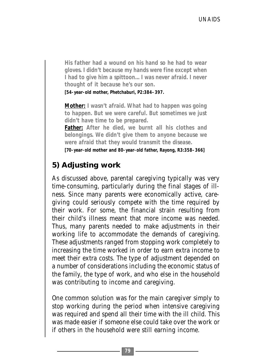**His father had a wound on his hand so he had to wear gloves. I didn't because my hands were fine except when I had to give him a spittoon... I was never afraid. I never thought of it because he's our son.**

**[54-year-old mother, Phetchaburi, P2:384–397.**

**Mother: I wasn't afraid. What had to happen was going to happen. But we were careful. But sometimes we just didn't have time to be prepared.** 

**Father: After he died, we burnt all his clothes and belongings. We didn't give them to anyone because we were afraid that they would transmit the disease.** 

**[70-year-old mother and 80-year-old father, Rayong, R3:358–366]**

#### **5) Adjusting work**

As discussed above, parental caregiving typically was very time-consuming, particularly during the final stages of illness. Since many parents were economically active, caregiving could seriously compete with the time required by their work. For some, the financial strain resulting from their child's illness meant that more income was needed. Thus, many parents needed to make adjustments in their working life to accommodate the demands of caregiving. These adjustments ranged from stopping work completely to increasing the time worked in order to earn extra income to meet their extra costs. The type of adjustment depended on a number of considerations including the economic status of the family, the type of work, and who else in the household was contributing to income and caregiving.

One common solution was for the main caregiver simply to stop working during the period when intensive caregiving was required and spend all their time with the ill child. This was made easier if someone else could take over the work or if others in the household were still earning income.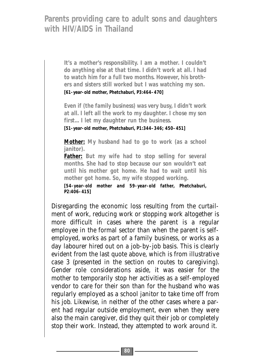**It's a mother's responsibility. I am a mother. I couldn't do anything else at that time. I didn't work at all. I had to watch him for a full two months. However, his brothers and sisters still worked but I was watching my son. [61-year-old mother, Phetchaburi, P3:464–470]**

**Even if (the family business) was very busy, I didn't work at all. I left all the work to my daughter. I chose my son first... I let my daughter run the business.** 

**[51-year-old mother, Phetchaburi, P1:344–346; 450–451]** 

**Mother: My husband had to go to work (as a school janitor).** 

**Father: But my wife had to stop selling for several months. She had to stop because our son wouldn't eat until his mother got home. He had to wait until his mother got home. So, my wife stopped working.** 

**[54-year-old mother and 59-year-old father, Phetchaburi, P2:406–415]**

Disregarding the economic loss resulting from the curtailment of work, reducing work or stopping work altogether is more difficult in cases where the parent is a regular employee in the formal sector than when the parent is selfemployed, works as part of a family business, or works as a day labourer hired out on a job-by-job basis. This is clearly evident from the last quote above, which is from illustrative case 3 (presented in the section on routes to caregiving). Gender role considerations aside, it was easier for the mother to temporarily stop her activities as a self-employed vendor to care for their son than for the husband who was regularly employed as a school janitor to take time off from his job. Likewise, in neither of the other cases where a parent had regular outside employment, even when they were also the main caregiver, did they quit their job or completely stop their work. Instead, they attempted to work around it.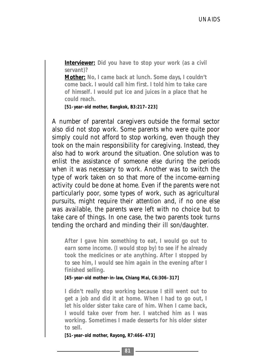**Interviewer: Did you have to stop your work (as a civil servant)?** 

**Mother: No, I came back at lunch. Some days, I couldn't come back. I would call him first. I told him to take care of himself. I would put ice and juices in a place that he could reach.** 

**[51-year-old mother, Bangkok, B3:217–223]**

A number of parental caregivers outside the formal sector also did not stop work. Some parents who were quite poor simply could not afford to stop working, even though they took on the main responsibility for caregiving. Instead, they also had to work around the situation. One solution was to enlist the assistance of someone else during the periods when it was necessary to work. Another was to switch the type of work taken on so that more of the income-earning activity could be done at home. Even if the parents were not particularly poor, some types of work, such as agricultural pursuits, might require their attention and, if no one else was available, the parents were left with no choice but to take care of things. In one case, the two parents took turns tending the orchard and minding their ill son/daughter.

**After I gave him something to eat, I would go out to earn some income. (I would stop by) to see if he already took the medicines or ate anything. After I stopped by to see him, I would see him again in the evening after I finished selling.** 

**[45-year-old mother-in-law, Chiang Mai, C6:306–317]**

**I didn't really stop working because I still went out to get a job and did it at home. When I had to go out, I let his older sister take care of him. When I came back, I would take over from her. I watched him as I was working. Sometimes I made desserts for his older sister to sell.** 

**[51-year-old mother, Rayong, R7:466–473]**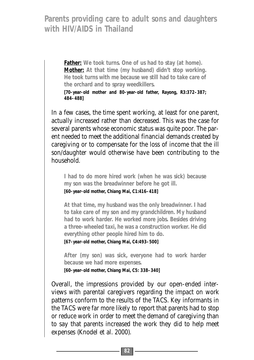**Father: We took turns. One of us had to stay (at home). Mother: At that time (my husband) didn't stop working. He took turns with me because we still had to take care of the orchard and to spray weedkillers. [70-year-old mother and 80-year-old father, Rayong, R3:372–387;**

In a few cases, the time spent working, at least for one parent, actually increased rather than decreased. This was the case for several parents whose economic status was quite poor. The parent needed to meet the additional financial demands created by caregiving or to compensate for the loss of income that the ill son/daughter would otherwise have been contributing to the household.

**I had to do more hired work (when he was sick) because my son was the breadwinner before he got ill. [60-year-old mother, Chiang Mai, C1:416–418]**

**At that time, my husband was the only breadwinner. I had to take care of my son and my grandchildren. My husband had to work harder. He worked more jobs. Besides driving a three-wheeled taxi, he was a construction worker. He did everything other people hired him to do.** 

**[67-year-old mother, Chiang Mai, C4:493–500]**

**484–488]**

**After (my son) was sick, everyone had to work harder because we had more expenses. [60-year-old mother, Chiang Mai, C5: 338–340]**

Overall, the impressions provided by our open-ended interviews with parental caregivers regarding the impact on work patterns conform to the results of the TACS. Key informants in the TACS were far more likely to report that parents had to stop or reduce work in order to meet the demand of caregiving than to say that parents increased the work they did to help meet expenses (Knodel et al. 2000).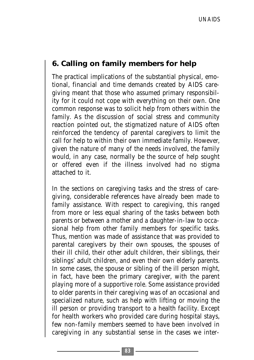#### **6. Calling on family members for help**

The practical implications of the substantial physical, emotional, financial and time demands created by AIDS caregiving meant that those who assumed primary responsibility for it could not cope with everything on their own. One common response was to solicit help from others within the family. As the discussion of social stress and community reaction pointed out, the stigmatized nature of AIDS often reinforced the tendency of parental caregivers to limit the call for help to within their own immediate family. However, given the nature of many of the needs involved, the family would, in any case, normally be the source of help sought or offered even if the illness involved had no stigma attached to it.

In the sections on caregiving tasks and the stress of caregiving, considerable references have already been made to family assistance. With respect to caregiving, this ranged from more or less equal sharing of the tasks between both parents or between a mother and a daughter-in-law to occasional help from other family members for specific tasks. Thus, mention was made of assistance that was provided to parental caregivers by their own spouses, the spouses of their ill child, their other adult children, their siblings, their siblings' adult children, and even their own elderly parents. In some cases, the spouse or sibling of the ill person might, in fact, have been the primary caregiver, with the parent playing more of a supportive role. Some assistance provided to older parents in their caregiving was of an occasional and specialized nature, such as help with lifting or moving the ill person or providing transport to a health facility. Except for health workers who provided care during hospital stays, few non-family members seemed to have been involved in caregiving in any substantial sense in the cases we inter-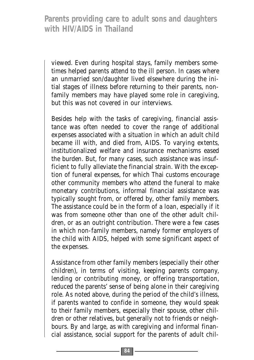viewed. Even during hospital stays, family members sometimes helped parents attend to the ill person. In cases where an unmarried son/daughter lived elsewhere during the initial stages of illness before returning to their parents, nonfamily members may have played some role in caregiving, but this was not covered in our interviews.

Besides help with the tasks of caregiving, financial assistance was often needed to cover the range of additional expenses associated with a situation in which an adult child became ill with, and died from, AIDS. To varying extents, institutionalized welfare and insurance mechanisms eased the burden. But, for many cases, such assistance was insufficient to fully alleviate the financial strain. With the exception of funeral expenses, for which Thai customs encourage other community members who attend the funeral to make monetary contributions, informal financial assistance was typically sought from, or offered by, other family members. The assistance could be in the form of a loan, especially if it was from someone other than one of the other adult children, or as an outright contribution. There were a few cases in which non-family members, namely former employers of the child with AIDS, helped with some significant aspect of the expenses.

Assistance from other family members (especially their other children), in terms of visiting, keeping parents company, lending or contributing money, or offering transportation, reduced the parents' sense of being alone in their caregiving role. As noted above, during the period of the child's illness, if parents wanted to confide in someone, they would speak to their family members, especially their spouse, other children or other relatives, but generally not to friends or neighbours. By and large, as with caregiving and informal financial assistance, social support for the parents of adult chil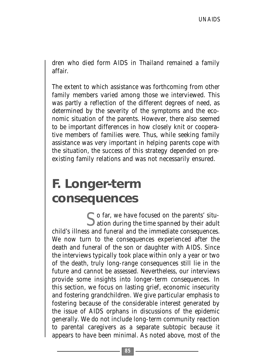dren who died form AIDS in Thailand remained a family affair.

The extent to which assistance was forthcoming from other family members varied among those we interviewed. This was partly a reflection of the different degrees of need, as determined by the severity of the symptoms and the economic situation of the parents. However, there also seemed to be important differences in how closely knit or cooperative members of families were. Thus, while seeking family assistance was very important in helping parents cope with the situation, the success of this strategy depended on preexisting family relations and was not necessarily ensured.

## **F. Longer-term consequences**

So far, we have focused on the parents' situ-ation during the time spanned by their adult child's illness and funeral and the immediate consequences. We now turn to the consequences experienced after the death and funeral of the son or daughter with AIDS. Since the interviews typically took place within only a year or two of the death, truly long-range consequences still lie in the future and cannot be assessed. Nevertheless, our interviews provide some insights into longer-term consequences. In this section, we focus on lasting grief, economic insecurity and fostering grandchildren. We give particular emphasis to fostering because of the considerable interest generated by the issue of AIDS orphans in discussions of the epidemic generally. We do not include long-term community reaction to parental caregivers as a separate subtopic because it appears to have been minimal. As noted above, most of the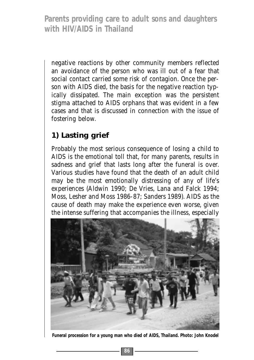negative reactions by other community members reflected an avoidance of the person who was ill out of a fear that social contact carried some risk of contagion. Once the person with AIDS died, the basis for the negative reaction typically dissipated. The main exception was the persistent stigma attached to AIDS orphans that was evident in a few cases and that is discussed in connection with the issue of fostering below.

## **1) Lasting grief**

Probably the most serious consequence of losing a child to AIDS is the emotional toll that, for many parents, results in sadness and grief that lasts long after the funeral is over. Various studies have found that the death of an adult child may be the most emotionally distressing of any of life's experiences (Aldwin 1990; De Vries, Lana and Falck 1994; Moss, Lesher and Moss 1986-87; Sanders 1989). AIDS as the cause of death may make the experience even worse, given the intense suffering that accompanies the illness, especially



**Funeral procession for a young man who died of AIDS, Thailand. Photo: John Knodel**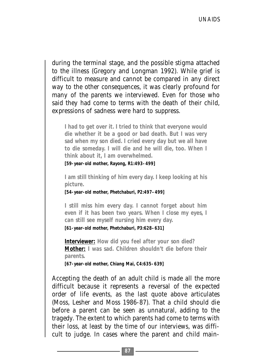during the terminal stage, and the possible stigma attached to the illness (Gregory and Longman 1992). While grief is difficult to measure and cannot be compared in any direct way to the other consequences, it was clearly profound for many of the parents we interviewed. Even for those who said they had come to terms with the death of their child, expressions of sadness were hard to suppress.

**I had to get over it. I tried to think that everyone would die whether it be a good or bad death. But I was very sad when my son died. I cried every day but we all have to die someday. I will die and he will die, too. When I think about it, I am overwhelmed.**

**[59-year-old mother, Rayong, R1:493–499]**

**I am still thinking of him every day. I keep looking at his picture.**

**[54-year-old mother, Phetchaburi, P2:497–499]**

**I still miss him every day. I cannot forget about him even if it has been two years. When I close my eyes, I can still see myself nursing him every day.**

**[61-year-old mother, Phetchaburi, P3:628–631]**

**Interviewer: How did you feel after your son died? Mother: I was sad. Children shouldn't die before their parents.**

**[67-year-old mother, Chiang Mai, C4:635–639]**

Accepting the death of an adult child is made all the more difficult because it represents a reversal of the expected order of life events, as the last quote above articulates (Moss, Lesher and Moss 1986-87). That a child should die before a parent can be seen as unnatural, adding to the tragedy. The extent to which parents had come to terms with their loss, at least by the time of our interviews, was difficult to judge. In cases where the parent and child main-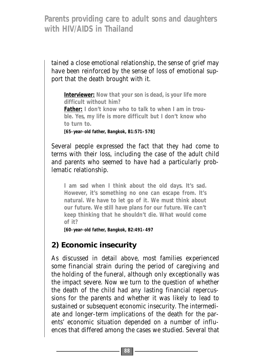tained a close emotional relationship, the sense of grief may have been reinforced by the sense of loss of emotional support that the death brought with it.

**Interviewer: Now that your son is dead, is your life more difficult without him?** 

**Father**: I don't know who to talk to when I am in trou**ble. Yes, my life is more difficult but I don't know who to turn to.** 

**[65-year-old father, Bangkok, B1:571–578]** 

Several people expressed the fact that they had come to terms with their loss, including the case of the adult child and parents who seemed to have had a particularly problematic relationship.

**I am sad when I think about the old days. It's sad. However, it's something no one can escape from. It's natural. We have to let go of it. We must think about our future. We still have plans for our future. We can't keep thinking that he shouldn't die. What would come of it?** 

**[60-year-old father, Bangkok, B2:491–497**

#### **2) Economic insecurity**

As discussed in detail above, most families experienced some financial strain during the period of caregiving and the holding of the funeral, although only exceptionally was the impact severe. Now we turn to the question of whether the death of the child had any lasting financial repercussions for the parents and whether it was likely to lead to sustained or subsequent economic insecurity. The intermediate and longer-term implications of the death for the parents' economic situation depended on a number of influences that differed among the cases we studied. Several that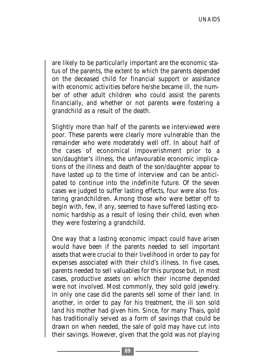are likely to be particularly important are the economic status of the parents, the extent to which the parents depended on the deceased child for financial support or assistance with economic activities before he/she became ill, the number of other adult children who could assist the parents financially, and whether or not parents were fostering a grandchild as a result of the death.

Slightly more than half of the parents we interviewed were poor. These parents were clearly more vulnerable than the remainder who were moderately well off. In about half of the cases of economical impoverishment prior to a son/daughter's illness, the unfavourable economic implications of the illness and death of the son/daughter appear to have lasted up to the time of interview and can be anticipated to continue into the indefinite future. Of the seven cases we judged to suffer lasting effects, four were also fostering grandchildren. Among those who were better off to begin with, few, if any, seemed to have suffered lasting economic hardship as a result of losing their child, even when they were fostering a grandchild.

One way that a lasting economic impact could have arisen would have been if the parents needed to sell important assets that were crucial to their livelihood in order to pay for expenses associated with their child's illness. In five cases, parents needed to sell valuables for this purpose but, in most cases, productive assets on which their income depended were not involved. Most commonly, they sold gold jewelry. In only one case did the parents sell some of their land. In another, in order to pay for his treatment, the ill son sold land his mother had given him. Since, for many Thais, gold has traditionally served as a form of savings that could be drawn on when needed, the sale of gold may have cut into their savings. However, given that the gold was not playing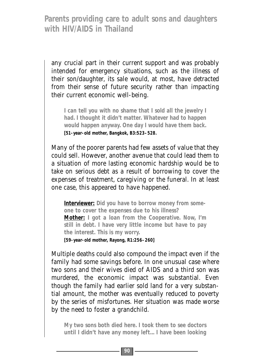any crucial part in their current support and was probably intended for emergency situations, such as the illness of their son/daughter, its sale would, at most, have detracted from their sense of future security rather than impacting their current economic well-being.

**I can tell you with no shame that I sold all the jewelry I had. I thought it didn't matter. Whatever had to happen would happen anyway. One day I would have them back. [51-year-old mother, Bangkok, B3:523–528.**

Many of the poorer parents had few assets of value that they could sell. However, another avenue that could lead them to a situation of more lasting economic hardship would be to take on serious debt as a result of borrowing to cover the expenses of treatment, caregiving or the funeral. In at least one case, this appeared to have happened.

**Interviewer: Did you have to borrow money from someone to cover the expenses due to his illness? Mother: I got a loan from the Cooperative. Now, I'm still in debt. I have very little income but have to pay the interest. This is my worry. [59-year-old mother, Rayong, R1:256–260]**

Multiple deaths could also compound the impact even if the family had some savings before. In one unusual case where two sons and their wives died of AIDS and a third son was murdered, the economic impact was substantial. Even though the family had earlier sold land for a very substantial amount, the mother was eventually reduced to poverty by the series of misfortunes. Her situation was made worse by the need to foster a grandchild.

**My two sons both died here. I took them to see doctors until I didn't have any money left... I have been looking**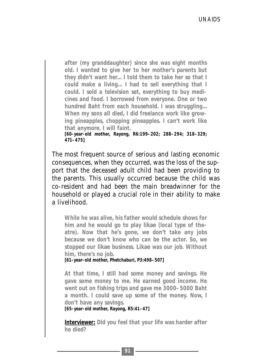**after (my granddaughter) since she was eight months old. I wanted to give her to her mother's parents but they didn't want her... I told them to take her so that I could make a living... I had to sell everything that I could. I sold a television set, everything to buy medicines and food. I borrowed from everyone. One or two hundred Baht from each household. I was struggling... When my sons all died, I did freelance work like growing pineapples, chopping pineapples. I can't work like that anymore. I will faint. [60-year-old mother, Rayong, R6:199–202; 288–294; 318–329; 471–475]**

The most frequent source of serious and lasting economic consequences, when they occurred, was the loss of the support that the deceased adult child had been providing to the parents. This usually occurred because the child was co-resident and had been the main breadwinner for the household or played a crucial role in their ability to make a livelihood.

**While he was alive, his father would schedule shows for him and he would go to play** *likae* **(local type of theatre). Now that he's gone, we don't take any jobs because we don't know who can be the actor. So, we stopped our** *likae* **business.** *Likae* **was our job. Without him, there's no job.** 

**[61-year-old mother, Phetchaburi, P3:498–507]**

**At that time, I still had some money and savings. He gave some money to me. He earned good income. He went out on fishing trips and gave me 3000–5000 Baht a month. I could save up some of the money. Now, I don't have any savings.**

**[65-year-old mother, Rayong, R5:41–47]**

**Interviewer: Did you feel that your life was harder after he died?**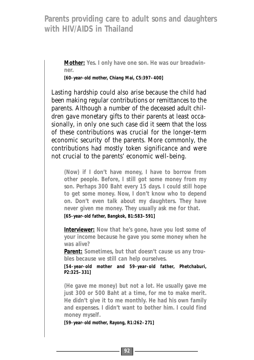**Mother: Yes. I only have one son. He was our breadwinner.** 

**[60-year-old mother, Chiang Mai, C5:397–400]**

Lasting hardship could also arise because the child had been making regular contributions or remittances to the parents. Although a number of the deceased adult children gave monetary gifts to their parents at least occasionally, in only one such case did it seem that the loss of these contributions was crucial for the longer-term economic security of the parents. More commonly, the contributions had mostly token significance and were not crucial to the parents' economic well-being.

**(Now) if I don't have money, I have to borrow from other people. Before, I still got some money from my son. Perhaps 300 Baht every 15 days. I could still hope to get some money. Now, I don't know who to depend on. Don't even talk about my daughters. They have never given me money. They usually ask me for that.** 

**[65-year-old father, Bangkok, B1:583–591]**

**Interviewer: Now that he's gone, have you lost some of your income because he gave you some money when he was alive?** 

**Parent: Sometimes, but that doesn't cause us any troubles because we still can help ourselves.** 

**[54-year-old mother and 59-year-old father, Phetchaburi, P2:325–331]**

**(He gave me money) but not a lot. He usually gave me just 300 or 500 Baht at a time, for me to make merit. He didn't give it to me monthly. He had his own family and expenses. I didn't want to bother him. I could find money myself.** 

**[59-year-old mother, Rayong, R1:262–271]**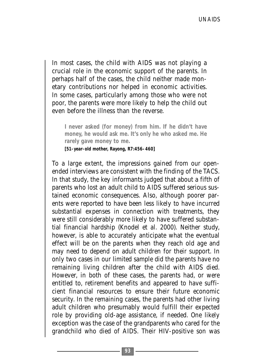In most cases, the child with AIDS was not playing a crucial role in the economic support of the parents. In perhaps half of the cases, the child neither made monetary contributions nor helped in economic activities. In some cases, particularly among those who were not poor, the parents were more likely to help the child out even before the illness than the reverse.

**I never asked (for money) from him. If he didn't have money, he would ask me. It's only he who asked me. He rarely gave money to me.** 

**[51-year-old mother, Rayong, R7:456–460]**

To a large extent, the impressions gained from our openended interviews are consistent with the finding of the TACS. In that study, the key informants judged that about a fifth of parents who lost an adult child to AIDS suffered serious sustained economic consequences. Also, although poorer parents were reported to have been less likely to have incurred substantial expenses in connection with treatments, they were still considerably more likely to have suffered substantial financial hardship (Knodel et al. 2000). Neither study, however, is able to accurately anticipate what the eventual effect will be on the parents when they reach old age and may need to depend on adult children for their support. In only two cases in our limited sample did the parents have no remaining living children after the child with AIDS died. However, in both of these cases, the parents had, or were entitled to, retirement benefits and appeared to have sufficient financial resources to ensure their future economic security. In the remaining cases, the parents had other living adult children who presumably would fulfill their expected role by providing old-age assistance, if needed. One likely exception was the case of the grandparents who cared for the grandchild who died of AIDS. Their HIV-positive son was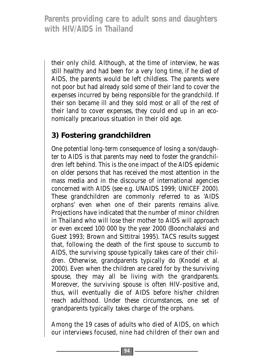their only child. Although, at the time of interview, he was still healthy and had been for a very long time, if he died of AIDS, the parents would be left childless. The parents were not poor but had already sold some of their land to cover the expenses incurred by being responsible for the grandchild. If their son became ill and they sold most or all of the rest of their land to cover expenses, they could end up in an economically precarious situation in their old age.

## **3) Fostering grandchildren**

One potential long-term consequence of losing a son/daughter to AIDS is that parents may need to foster the grandchildren left behind. This is the one impact of the AIDS epidemic on older persons that has received the most attention in the mass media and in the discourse of international agencies concerned with AIDS (see e.g. UNAIDS 1999; UNICEF 2000). These grandchildren are commonly referred to as 'AIDS orphans' even when one of their parents remains alive. Projections have indicated that the number of minor children in Thailand who will lose their mother to AIDS will approach or even exceed 100 000 by the year 2000 (Boonchalaksi and Guest 1993; Brown and Sittitrai 1995). TACS results suggest that, following the death of the first spouse to succumb to AIDS, the surviving spouse typically takes care of their children. Otherwise, grandparents typically do (Knodel et al. 2000). Even when the children are cared for by the surviving spouse, they may all be living with the grandparents. Moreover, the surviving spouse is often HIV-positive and, thus, will eventually die of AIDS before his/her children reach adulthood. Under these circumstances, one set of grandparents typically takes charge of the orphans.

Among the 19 cases of adults who died of AIDS, on which our interviews focused, nine had children of their own and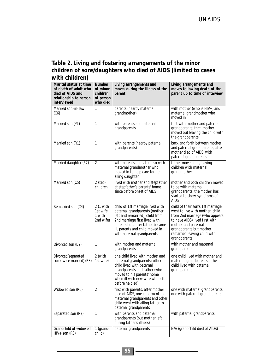#### **Table 2. Living and fostering arrangements of the minor children of sons/daughters who died of AIDS (limited to cases with children)**

| Marital status at time<br>of death of adult who<br>died of AIDS and<br>relationship to person<br>interviewed | <b>Number</b><br>of minor<br>children<br>of person<br>who died | Living arrangements and<br>moves during the illness of the<br>parent                                                                                                                                                                       | Living arrangements and<br>moves following death of the<br>parent up to time of interview                                                                                                                                                  |
|--------------------------------------------------------------------------------------------------------------|----------------------------------------------------------------|--------------------------------------------------------------------------------------------------------------------------------------------------------------------------------------------------------------------------------------------|--------------------------------------------------------------------------------------------------------------------------------------------------------------------------------------------------------------------------------------------|
| Married son-in-law<br>(C6)                                                                                   | 1                                                              | parents (nearby maternal<br>grandmother)                                                                                                                                                                                                   | with mother (who is HIV+) and<br>maternal grandmother who<br>moved in                                                                                                                                                                      |
| Married son (P1)                                                                                             | 1                                                              | with parents and paternal<br>grandparents                                                                                                                                                                                                  | first with mother and paternal<br>grandparents; then mother<br>moved out leaving the child with<br>the grandparents                                                                                                                        |
| Married son (R1)                                                                                             | 1                                                              | with parents (nearby paternal<br>grandparents)                                                                                                                                                                                             | back and forth between mother<br>and paternal grandparents; after<br>mother died of AIDS, with<br>paternal grandparents                                                                                                                    |
| Married daughter (R2)                                                                                        | $\mathfrak{D}$                                                 | with parents and later also with<br>maternal grandmother who<br>moved in to help care for her<br>ailing daughter                                                                                                                           | father moved out, leaving<br>children with maternal<br>arandmother                                                                                                                                                                         |
| Married son (C5)                                                                                             | 2 step-<br>children                                            | lived with mother and stepfather<br>at stepfather's parents' home<br>since before onset of AIDS                                                                                                                                            | mother and both children moved<br>to be with maternal<br>grandparents; the mother has<br>started to show symptoms of<br>AIDS                                                                                                               |
| Remarried son (C4)                                                                                           | 2 (1 with<br>1st wife:<br>1 with<br>2nd wife)                  | child of 1st marriage lived with<br>paternal grandparents (mother<br>left and remarried); child from<br>2nd marriage first lived with<br>parents but, after father became<br>ill, parents and child moved in<br>with paternal grandparents | child of their son's 1st marriage<br>went to live with mother: child<br>from 2nd marriage (who appears<br>to have AIDS) lived first with<br>mother and paternal<br>grandparents but mother<br>remarried leaving child with<br>grandparents |
| Divorced son (B2)                                                                                            | 1                                                              | with mother and maternal<br>grandparents                                                                                                                                                                                                   | with mother and maternal<br>grandparents                                                                                                                                                                                                   |
| Divorced/separated<br>son (twice married) (R3)                                                               | 2 (with<br>1st wife)                                           | one child lived with mother and<br>maternal grandparents; other<br>child lived with paternal<br>grandparents and father (who<br>moved to his parents' home<br>when ill with new wife who left<br>before he died)                           | one child lived with mother and<br>maternal grandparents; other<br>child lived with paternal<br>grandparents                                                                                                                               |
| Widowed son (R6)                                                                                             | $\mathfrak{D}$                                                 | first with parents: after mother<br>died of AIDS, one child went to<br>maternal grandparents and other<br>child went with ailing father to<br>paternal grandparents                                                                        | one with maternal grandparents;<br>one with paternal grandparents                                                                                                                                                                          |
| Separated son (R7)                                                                                           | 1                                                              | with parents and paternal<br>grandparents (but mother left<br>during father's illness)                                                                                                                                                     | with paternal grandparents                                                                                                                                                                                                                 |
| Grandchild of widowed<br>$HIV+$ son (R8)                                                                     | 1 (grand-<br>child)                                            | paternal grandparents                                                                                                                                                                                                                      | N/A (grandchild died of AIDS)                                                                                                                                                                                                              |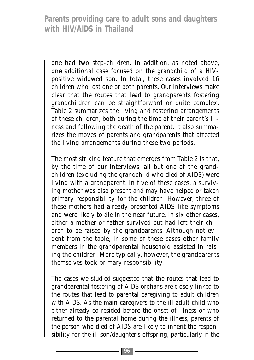one had two step-children. In addition, as noted above, one additional case focused on the grandchild of a HIVpositive widowed son. In total, these cases involved 16 children who lost one or both parents. Our interviews make clear that the routes that lead to grandparents fostering grandchildren can be straightforward or quite complex. Table 2 summarizes the living and fostering arrangements of these children, both during the time of their parent's illness and following the death of the parent. It also summarizes the moves of parents and grandparents that affected the living arrangements during these two periods.

The most striking feature that emerges from Table 2 is that, by the time of our interviews, all but one of the grandchildren (excluding the grandchild who died of AIDS) were living with a grandparent. In five of these cases, a surviving mother was also present and may have helped or taken primary responsibility for the children. However, three of these mothers had already presented AIDS-like symptoms and were likely to die in the near future. In six other cases, either a mother or father survived but had left their children to be raised by the grandparents. Although not evident from the table, in some of these cases other family members in the grandparental household assisted in raising the children. More typically, however, the grandparents themselves took primary responsibility.

The cases we studied suggested that the routes that lead to grandparental fostering of AIDS orphans are closely linked to the routes that lead to parental caregiving to adult children with AIDS. As the main caregivers to the ill adult child who either already co-resided before the onset of illness or who returned to the parental home during the illness, parents of the person who died of AIDS are likely to inherit the responsibility for the ill son/daughter's offspring, particularly if the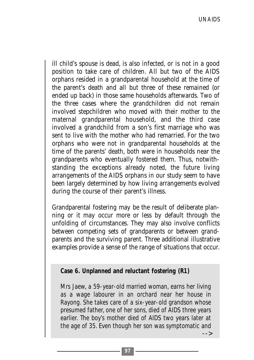ill child's spouse is dead, is also infected, or is not in a good position to take care of children. All but two of the AIDS orphans resided in a grandparental household at the time of the parent's death and all but three of these remained (or ended up back) in those same households afterwards. Two of the three cases where the grandchildren did not remain involved stepchildren who moved with their mother to the maternal grandparental household, and the third case involved a grandchild from a son's first marriage who was sent to live with the mother who had remarried. For the two orphans who were not in grandparental households at the time of the parents' death, both were in households near the grandparents who eventually fostered them. Thus, notwithstanding the exceptions already noted, the future living arrangements of the AIDS orphans in our study seem to have been largely determined by how living arrangements evolved during the course of their parent's illness.

Grandparental fostering may be the result of deliberate planning or it may occur more or less by default through the unfolding of circumstances. They may also involve conflicts between competing sets of grandparents or between grandparents and the surviving parent. Three additional illustrative examples provide a sense of the range of situations that occur.

**Case 6. Unplanned and reluctant fostering (R1)**

Mrs Jaew, a 59-year-old married woman, earns her living as a wage labourer in an orchard near her house in Rayong. She takes care of a six-year-old grandson whose presumed father, one of her sons, died of AIDS three years earlier. The boy's mother died of AIDS two years later at the age of 35. Even though her son was symptomatic and -->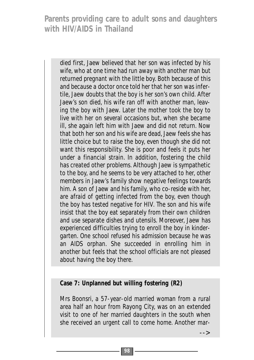died first, Jaew believed that her son was infected by his wife, who at one time had run away with another man but returned pregnant with the little boy. Both because of this and because a doctor once told her that her son was infertile, Jaew doubts that the boy is her son's own child. After Jaew's son died, his wife ran off with another man, leaving the boy with Jaew. Later the mother took the boy to live with her on several occasions but, when she became ill, she again left him with Jaew and did not return. Now that both her son and his wife are dead, Jaew feels she has little choice but to raise the boy, even though she did not want this responsibility. She is poor and feels it puts her under a financial strain. In addition, fostering the child has created other problems. Although Jaew is sympathetic to the boy, and he seems to be very attached to her, other members in Jaew's family show negative feelings towards him. A son of Jaew and his family, who co-reside with her, are afraid of getting infected from the boy, even though the boy has tested negative for HIV. The son and his wife insist that the boy eat separately from their own children and use separate dishes and utensils. Moreover, Jaew has experienced difficulties trying to enroll the boy in kindergarten. One school refused his admission because he was an AIDS orphan. She succeeded in enrolling him in another but feels that the school officials are not pleased about having the boy there.

#### **Case 7: Unplanned but willing fostering (R2)**

Mrs Boonsri, a 57-year-old married woman from a rural area half an hour from Rayong City, was on an extended visit to one of her married daughters in the south when she received an urgent call to come home. Another mar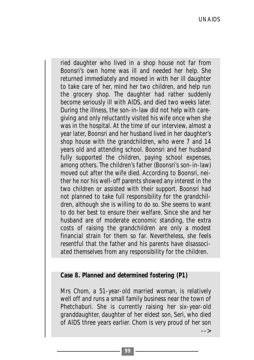ried daughter who lived in a shop house not far from Boonsri's own home was ill and needed her help. She returned immediately and moved in with her ill daughter to take care of her, mind her two children, and help run the grocery shop. The daughter had rather suddenly become seriously ill with AIDS, and died two weeks later. During the illness, the son-in-law did not help with caregiving and only reluctantly visited his wife once when she was in the hospital. At the time of our interview, almost a year later, Boonsri and her husband lived in her daughter's shop house with the grandchildren, who were 7 and 14 years old and attending school. Boonsri and her husband fully supported the children, paying school expenses, among others. The children's father (Boonsri's son-in-law) moved out after the wife died. According to Boonsri, neither he nor his well-off parents showed any interest in the two children or assisted with their support. Boonsri had not planned to take full responsibility for the grandchildren, although she is willing to do so. She seems to want to do her best to ensure their welfare. Since she and her husband are of moderate economic standing, the extra costs of raising the grandchildren are only a modest financial strain for them so far. Nevertheless, she feels resentful that the father and his parents have disassociated themselves from any responsibility for the children.

#### **Case 8. Planned and determined fostering (P1)**

Mrs Chom, a 51-year-old married woman, is relatively well off and runs a small family business near the town of Phetchaburi. She is currently raising her six-year-old granddaughter, daughter of her eldest son, Seri, who died of AIDS three years earlier. Chom is very proud of her son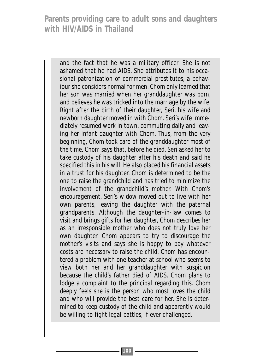and the fact that he was a military officer. She is not ashamed that he had AIDS. She attributes it to his occasional patronization of commercial prostitutes, a behaviour she considers normal for men. Chom only learned that her son was married when her granddaughter was born, and believes he was tricked into the marriage by the wife. Right after the birth of their daughter, Seri, his wife and newborn daughter moved in with Chom. Seri's wife immediately resumed work in town, commuting daily and leaving her infant daughter with Chom. Thus, from the very beginning, Chom took care of the granddaughter most of the time. Chom says that, before he died, Seri asked her to take custody of his daughter after his death and said he specified this in his will. He also placed his financial assets in a trust for his daughter. Chom is determined to be the one to raise the grandchild and has tried to minimize the involvement of the grandchild's mother. With Chom's encouragement, Seri's widow moved out to live with her own parents, leaving the daughter with the paternal grandparents. Although the daughter-in-law comes to visit and brings gifts for her daughter, Chom describes her as an irresponsible mother who does not truly love her own daughter. Chom appears to try to discourage the mother's visits and says she is happy to pay whatever costs are necessary to raise the child. Chom has encountered a problem with one teacher at school who seems to view both her and her granddaughter with suspicion because the child's father died of AIDS. Chom plans to lodge a complaint to the principal regarding this. Chom deeply feels she is the person who most loves the child and who will provide the best care for her. She is determined to keep custody of the child and apparently would be willing to fight legal battles, if ever challenged.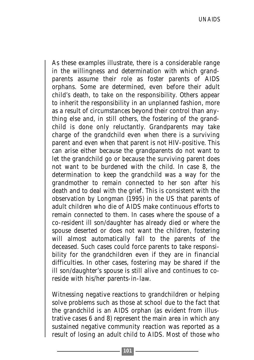As these examples illustrate, there is a considerable range in the willingness and determination with which grandparents assume their role as foster parents of AIDS orphans. Some are determined, even before their adult child's death, to take on the responsibility. Others appear to inherit the responsibility in an unplanned fashion, more as a result of circumstances beyond their control than anything else and, in still others, the fostering of the grandchild is done only reluctantly. Grandparents may take charge of the grandchild even when there is a surviving parent and even when that parent is not HIV-positive. This can arise either because the grandparents do not want to let the grandchild go or because the surviving parent does not want to be burdened with the child. In case 8, the determination to keep the grandchild was a way for the grandmother to remain connected to her son after his death and to deal with the grief. This is consistent with the observation by Longman (1995) in the US that parents of adult children who die of AIDS make continuous efforts to remain connected to them. In cases where the spouse of a co-resident ill son/daughter has already died or where the spouse deserted or does not want the children, fostering will almost automatically fall to the parents of the deceased. Such cases could force parents to take responsibility for the grandchildren even if they are in financial difficulties. In other cases, fostering may be shared if the ill son/daughter's spouse is still alive and continues to coreside with his/her parents-in-law.

Witnessing negative reactions to grandchildren or helping solve problems such as those at school due to the fact that the grandchild is an AIDS orphan (as evident from illustrative cases 6 and 8) represent the main area in which any sustained negative community reaction was reported as a result of losing an adult child to AIDS. Most of those who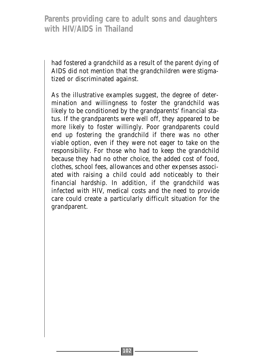had fostered a grandchild as a result of the parent dying of AIDS did not mention that the grandchildren were stigmatized or discriminated against.

As the illustrative examples suggest, the degree of determination and willingness to foster the grandchild was likely to be conditioned by the grandparents' financial status. If the grandparents were well off, they appeared to be more likely to foster willingly. Poor grandparents could end up fostering the grandchild if there was no other viable option, even if they were not eager to take on the responsibility. For those who had to keep the grandchild because they had no other choice, the added cost of food, clothes, school fees, allowances and other expenses associated with raising a child could add noticeably to their financial hardship. In addition, if the grandchild was infected with HIV, medical costs and the need to provide care could create a particularly difficult situation for the grandparent.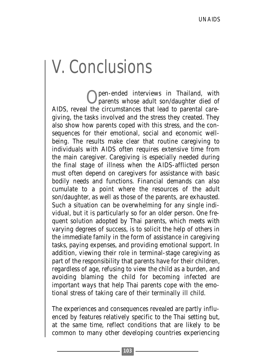# V. Conclusions

pen-ended interviews in Thailand, with parents whose adult son/daughter died of AIDS, reveal the circumstances that lead to parental caregiving, the tasks involved and the stress they created. They also show how parents coped with this stress, and the consequences for their emotional, social and economic wellbeing. The results make clear that routine caregiving to individuals with AIDS often requires extensive time from the main caregiver. Caregiving is especially needed during the final stage of illness when the AIDS-afflicted person must often depend on caregivers for assistance with basic bodily needs and functions. Financial demands can also cumulate to a point where the resources of the adult son/daughter, as well as those of the parents, are exhausted. Such a situation can be overwhelming for any single individual, but it is particularly so for an older person. One frequent solution adopted by Thai parents, which meets with varying degrees of success, is to solicit the help of others in the immediate family in the form of assistance in caregiving tasks, paying expenses, and providing emotional support. In addition, viewing their role in terminal-stage caregiving as part of the responsibility that parents have for their children, regardless of age, refusing to view the child as a burden, and avoiding blaming the child for becoming infected are important ways that help Thai parents cope with the emotional stress of taking care of their terminally ill child.

The experiences and consequences revealed are partly influenced by features relatively specific to the Thai setting but, at the same time, reflect conditions that are likely to be common to many other developing countries experiencing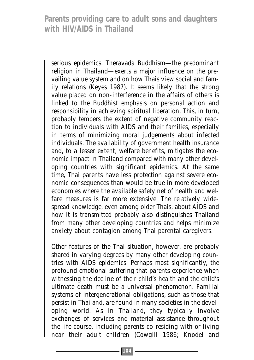serious epidemics. Theravada Buddhism—the predominant religion in Thailand—exerts a major influence on the prevailing value system and on how Thais view social and family relations (Keyes 1987). It seems likely that the strong value placed on non-interference in the affairs of others is linked to the Buddhist emphasis on personal action and responsibility in achieving spiritual liberation. This, in turn, probably tempers the extent of negative community reaction to individuals with AIDS and their families, especially in terms of minimizing moral judgements about infected individuals. The availability of government health insurance and, to a lesser extent, welfare benefits, mitigates the economic impact in Thailand compared with many other developing countries with significant epidemics. At the same time, Thai parents have less protection against severe economic consequences than would be true in more developed economies where the available safety net of health and welfare measures is far more extensive. The relatively widespread knowledge, even among older Thais, about AIDS and how it is transmitted probably also distinguishes Thailand from many other developing countries and helps minimize anxiety about contagion among Thai parental caregivers.

Other features of the Thai situation, however, are probably shared in varying degrees by many other developing countries with AIDS epidemics. Perhaps most significantly, the profound emotional suffering that parents experience when witnessing the decline of their child's health and the child's ultimate death must be a universal phenomenon. Familial systems of intergenerational obligations, such as those that persist in Thailand, are found in many societies in the developing world. As in Thailand, they typically involve exchanges of services and material assistance throughout the life course, including parents co-residing with or living near their adult children (Cowgill 1986; Knodel and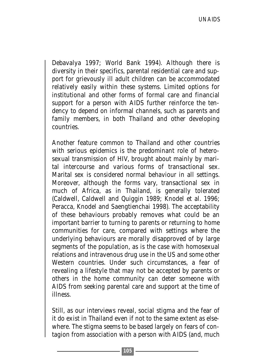Debavalya 1997; World Bank 1994). Although there is diversity in their specifics, parental residential care and support for grievously ill adult children can be accommodated relatively easily within these systems. Limited options for institutional and other forms of formal care and financial support for a person with AIDS further reinforce the tendency to depend on informal channels, such as parents and family members, in both Thailand and other developing countries.

Another feature common to Thailand and other countries with serious epidemics is the predominant role of heterosexual transmission of HIV, brought about mainly by marital intercourse and various forms of transactional sex. Marital sex is considered normal behaviour in all settings. Moreover, although the forms vary, transactional sex in much of Africa, as in Thailand, is generally tolerated (Caldwell, Caldwell and Quiggin 1989; Knodel et al. 1996; Peracca, Knodel and Saengtienchai 1998). The acceptability of these behaviours probably removes what could be an important barrier to turning to parents or returning to home communities for care, compared with settings where the underlying behaviours are morally disapproved of by large segments of the population, as is the case with homosexual relations and intravenous drug use in the US and some other Western countries. Under such circumstances, a fear of revealing a lifestyle that may not be accepted by parents or others in the home community can deter someone with AIDS from seeking parental care and support at the time of illness.

Still, as our interviews reveal, social stigma and the fear of it do exist in Thailand even if not to the same extent as elsewhere. The stigma seems to be based largely on fears of contagion from association with a person with AIDS (and, much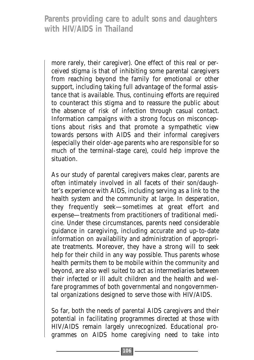more rarely, their caregiver). One effect of this real or perceived stigma is that of inhibiting some parental caregivers from reaching beyond the family for emotional or other support, including taking full advantage of the formal assistance that is available. Thus, continuing efforts are required to counteract this stigma and to reassure the public about the absence of risk of infection through casual contact. Information campaigns with a strong focus on misconceptions about risks and that promote a sympathetic view towards persons with AIDS and their informal caregivers (especially their older-age parents who are responsible for so much of the terminal-stage care), could help improve the situation.

As our study of parental caregivers makes clear, parents are often intimately involved in all facets of their son/daughter's experience with AIDS, including serving as a link to the health system and the community at large. In desperation, they frequently seek—sometimes at great effort and expense—treatments from practitioners of traditional medicine. Under these circumstances, parents need considerable guidance in caregiving, including accurate and up-to-date information on availability and administration of appropriate treatments. Moreover, they have a strong will to seek help for their child in any way possible. Thus parents whose health permits them to be mobile within the community and beyond, are also well suited to act as intermediaries between their infected or ill adult children and the health and welfare programmes of both governmental and nongovernmental organizations designed to serve those with HIV/AIDS.

So far, both the needs of parental AIDS caregivers and their potential in facilitating programmes directed at those with HIV/AIDS remain largely unrecognized. Educational programmes on AIDS home caregiving need to take into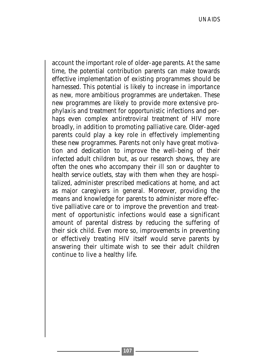account the important role of older-age parents. At the same time, the potential contribution parents can make towards effective implementation of existing programmes should be harnessed. This potential is likely to increase in importance as new, more ambitious programmes are undertaken. These new programmes are likely to provide more extensive prophylaxis and treatment for opportunistic infections and perhaps even complex antiretroviral treatment of HIV more broadly, in addition to promoting palliative care. Older-aged parents could play a key role in effectively implementing these new programmes. Parents not only have great motivation and dedication to improve the well-being of their infected adult children but, as our research shows, they are often the ones who accompany their ill son or daughter to health service outlets, stay with them when they are hospitalized, administer prescribed medications at home, and act as major caregivers in general. Moreover, providing the means and knowledge for parents to administer more effective palliative care or to improve the prevention and treatment of opportunistic infections would ease a significant amount of parental distress by reducing the suffering of their sick child. Even more so, improvements in preventing or effectively treating HIV itself would serve parents by answering their ultimate wish to see their adult children continue to live a healthy life.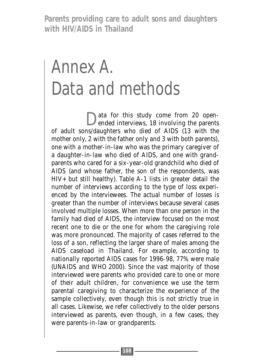## Annex A. Data and methods

Data for this study come from 20 open-<br>ended interviews, 18 involving the parents of adult sons/daughters who died of AIDS (13 with the mother only, 2 with the father only and 3 with both parents), one with a mother-in-law who was the primary caregiver of a daughter-in-law who died of AIDS, and one with grandparents who cared for a six-year-old grandchild who died of AIDS (and whose father, the son of the respondents, was HIV+ but still healthy). Table A-1 lists in greater detail the number of interviews according to the type of loss experienced by the interviewees. The actual number of losses is greater than the number of interviews because several cases involved multiple losses. When more than one person in the family had died of AIDS, the interview focused on the most recent one to die or the one for whom the caregiving role was more pronounced. The majority of cases referred to the loss of a son, reflecting the larger share of males among the AIDS caseload in Thailand. For example, according to nationally reported AIDS cases for 1996-98, 77% were male (UNAIDS and WHO 2000). Since the vast majority of those interviewed were parents who provided care to one or more of their adult children, for convenience we use the term parental caregiving to characterize the experience of the sample collectively, even though this is not strictly true in all cases. Likewise, we refer collectively to the older persons interviewed as parents, even though, in a few cases, they were parents-in-law or grandparents.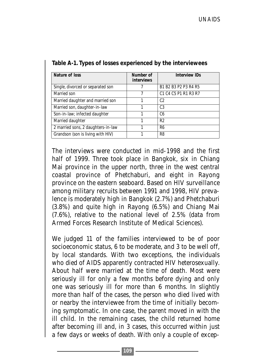| Nature of loss                     | Number of<br>interviews | <b>Interview IDs</b> |
|------------------------------------|-------------------------|----------------------|
| Single, divorced or separated son  |                         | B1 B2 B3 P2 P3 R4 R5 |
| Married son                        |                         | C1 C4 C5 P1 R1 R3 R7 |
| Married daughter and married son   |                         | C2                   |
| Married son, daughter-in-law       |                         | C <sub>3</sub>       |
| Son-in-law; infected daughter      |                         | C <sub>6</sub>       |
| Married daughter                   |                         | R <sub>2</sub>       |
| 2 married sons, 2 daughters-in-law |                         | R <sub>6</sub>       |
| Grandson (son is living with HIV)  |                         | R <sub>8</sub>       |

#### **Table A-1. Types of losses experienced by the interviewees**

The interviews were conducted in mid-1998 and the first half of 1999. Three took place in Bangkok, six in Chiang Mai province in the upper north, three in the west central coastal province of Phetchaburi, and eight in Rayong province on the eastern seaboard. Based on HIV surveillance among military recruits between 1991 and 1998, HIV prevalence is moderately high in Bangkok (2.7%) and Phetchaburi (3.8%) and quite high in Rayong (6.5%) and Chiang Mai (7.6%), relative to the national level of 2.5% (data from Armed Forces Research Institute of Medical Sciences).

We judged 11 of the families interviewed to be of poor socioeconomic status, 6 to be moderate, and 3 to be well off, by local standards. With two exceptions, the individuals who died of AIDS apparently contracted HIV heterosexually. About half were married at the time of death. Most were seriously ill for only a few months before dying and only one was seriously ill for more than 6 months. In slightly more than half of the cases, the person who died lived with or nearby the interviewee from the time of initially becoming symptomatic. In one case, the parent moved in with the ill child. In the remaining cases, the child returned home after becoming ill and, in 3 cases, this occurred within just a few days or weeks of death. With only a couple of excep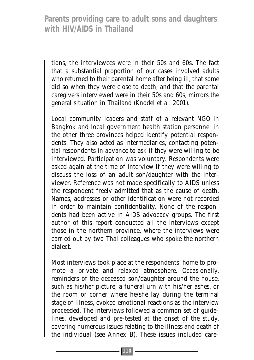tions, the interviewees were in their 50s and 60s. The fact that a substantial proportion of our cases involved adults who returned to their parental home after being ill, that some did so when they were close to death, and that the parental caregivers interviewed were in their 50s and 60s, mirrors the general situation in Thailand (Knodel et al. 2001).

Local community leaders and staff of a relevant NGO in Bangkok and local government health station personnel in the other three provinces helped identify potential respondents. They also acted as intermediaries, contacting potential respondents in advance to ask if they were willing to be interviewed. Participation was voluntary. Respondents were asked again at the time of interview if they were willing to discuss the loss of an adult son/daughter with the interviewer. Reference was not made specifically to AIDS unless the respondent freely admitted that as the cause of death. Names, addresses or other identification were not recorded in order to maintain confidentiality. None of the respondents had been active in AIDS advocacy groups. The first author of this report conducted all the interviews except those in the northern province, where the interviews were carried out by two Thai colleagues who spoke the northern dialect.

Most interviews took place at the respondents' home to promote a private and relaxed atmosphere. Occasionally, reminders of the deceased son/daughter around the house, such as his/her picture, a funeral urn with his/her ashes, or the room or corner where he/she lay during the terminal stage of illness, evoked emotional reactions as the interview proceeded. The interviews followed a common set of guidelines, developed and pre-tested at the onset of the study, covering numerous issues relating to the illness and death of the individual (see Annex B). These issues included care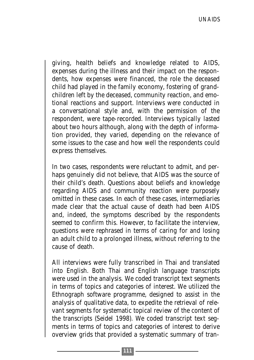giving, health beliefs and knowledge related to AIDS, expenses during the illness and their impact on the respondents, how expenses were financed, the role the deceased child had played in the family economy, fostering of grandchildren left by the deceased, community reaction, and emotional reactions and support. Interviews were conducted in a conversational style and, with the permission of the respondent, were tape-recorded. Interviews typically lasted about two hours although, along with the depth of information provided, they varied, depending on the relevance of some issues to the case and how well the respondents could express themselves.

In two cases, respondents were reluctant to admit, and perhaps genuinely did not believe, that AIDS was the source of their child's death. Questions about beliefs and knowledge regarding AIDS and community reaction were purposely omitted in these cases. In each of these cases, intermediaries made clear that the actual cause of death had been AIDS and, indeed, the symptoms described by the respondents seemed to confirm this. However, to facilitate the interview, questions were rephrased in terms of caring for and losing an adult child to a prolonged illness, without referring to the cause of death.

All interviews were fully transcribed in Thai and translated into English. Both Thai and English language transcripts were used in the analysis. We coded transcript text segments in terms of topics and categories of interest. We utilized the Ethnograph software programme, designed to assist in the analysis of qualitative data, to expedite the retrieval of relevant segments for systematic topical review of the content of the transcripts (Seidel 1998). We coded transcript text segments in terms of topics and categories of interest to derive overview grids that provided a systematic summary of tran-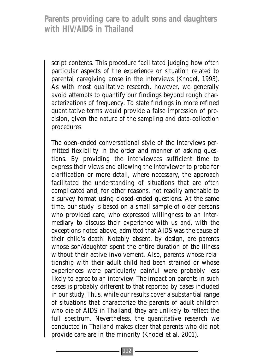script contents. This procedure facilitated judging how often particular aspects of the experience or situation related to parental caregiving arose in the interviews (Knodel, 1993). As with most qualitative research, however, we generally avoid attempts to quantify our findings beyond rough characterizations of frequency. To state findings in more refined quantitative terms would provide a false impression of precision, given the nature of the sampling and data-collection procedures.

The open-ended conversational style of the interviews permitted flexibility in the order and manner of asking questions. By providing the interviewees sufficient time to express their views and allowing the interviewer to probe for clarification or more detail, where necessary, the approach facilitated the understanding of situations that are often complicated and, for other reasons, not readily amenable to a survey format using closed-ended questions. At the same time, our study is based on a small sample of older persons who provided care, who expressed willingness to an intermediary to discuss their experience with us and, with the exceptions noted above, admitted that AIDS was the cause of their child's death. Notably absent, by design, are parents whose son/daughter spent the entire duration of the illness without their active involvement. Also, parents whose relationship with their adult child had been strained or whose experiences were particularly painful were probably less likely to agree to an interview. The impact on parents in such cases is probably different to that reported by cases included in our study. Thus, while our results cover a substantial range of situations that characterize the parents of adult children who die of AIDS in Thailand, they are unlikely to reflect the full spectrum. Nevertheless, the quantitative research we conducted in Thailand makes clear that parents who did not provide care are in the minority (Knodel et al. 2001).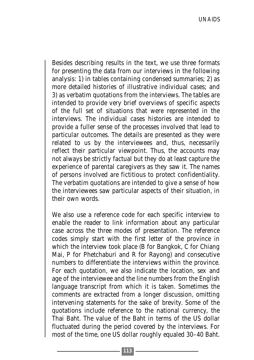Besides describing results in the text, we use three formats for presenting the data from our interviews in the following analysis: 1) in tables containing condensed summaries; 2) as more detailed histories of illustrative individual cases; and 3) as verbatim quotations from the interviews. The tables are intended to provide very brief overviews of specific aspects of the full set of situations that were represented in the interviews. The individual cases histories are intended to provide a fuller sense of the processes involved that lead to particular outcomes. The details are presented as they were related to us by the interviewees and, thus, necessarily reflect their particular viewpoint. Thus, the accounts may not always be strictly factual but they do at least capture the experience of parental caregivers as they saw it. The names of persons involved are fictitious to protect confidentiality. The verbatim quotations are intended to give a sense of how the interviewees saw particular aspects of their situation, in their own words.

We also use a reference code for each specific interview to enable the reader to link information about any particular case across the three modes of presentation. The reference codes simply start with the first letter of the province in which the interview took place (B for Bangkok, C for Chiang Mai, P for Phetchaburi and R for Rayong) and consecutive numbers to differentiate the interviews within the province. For each quotation, we also indicate the location, sex and age of the interviewee and the line numbers from the English language transcript from which it is taken. Sometimes the comments are extracted from a longer discussion, omitting intervening statements for the sake of brevity. Some of the quotations include reference to the national currency, the Thai Baht. The value of the Baht in terms of the US dollar fluctuated during the period covered by the interviews. For most of the time, one US dollar roughly equaled 30–40 Baht.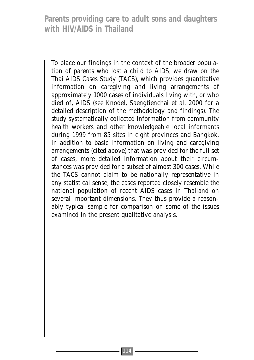To place our findings in the context of the broader population of parents who lost a child to AIDS, we draw on the Thai AIDS Cases Study (TACS), which provides quantitative information on caregiving and living arrangements of approximately 1000 cases of individuals living with, or who died of, AIDS (see Knodel, Saengtienchai et al. 2000 for a detailed description of the methodology and findings). The study systematically collected information from community health workers and other knowledgeable local informants during 1999 from 85 sites in eight provinces and Bangkok. In addition to basic information on living and caregiving arrangements (cited above) that was provided for the full set of cases, more detailed information about their circumstances was provided for a subset of almost 300 cases. While the TACS cannot claim to be nationally representative in any statistical sense, the cases reported closely resemble the national population of recent AIDS cases in Thailand on several important dimensions. They thus provide a reasonably typical sample for comparison on some of the issues examined in the present qualitative analysis.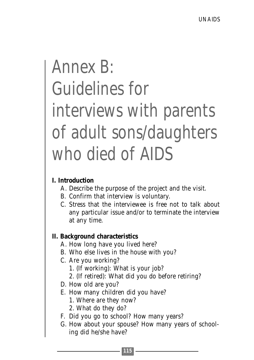# Annex B: Guidelines for interviews with parents of adult sons/daughters who died of AIDS

#### **I. Introduction**

- A. Describe the purpose of the project and the visit.
- B. Confirm that interview is voluntary.
- C. Stress that the interviewee is free not to talk about any particular issue and/or to terminate the interview at any time.

#### **II. Background characteristics**

- A. How long have you lived here?
- B. Who else lives in the house with you?
- C. Are you working?
	- 1. (If working): What is your job?
	- 2. (If retired): What did you do before retiring?
- D. How old are you?
- E. How many children did you have?
	- 1. Where are they now?
	- 2. What do they do?
- F. Did you go to school? How many years?
- G. How about your spouse? How many years of schooling did he/she have?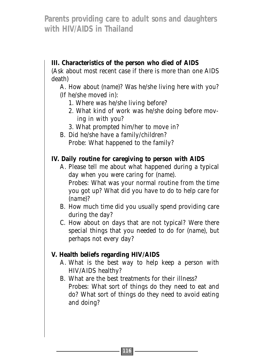#### **III. Characteristics of the person who died of AIDS**

(Ask about most recent case if there is more than one AIDS death)

A. How about (*name*)? Was he/she living here with you? (If he/she moved in):

- 1. Where was he/she living before?
- 2. What kind of work was he/she doing before moving in with you?
- 3. What prompted him/her to move in?
- B. Did he/she have a family/children? Probe: What happened to the family?

#### **IV. Daily routine for caregiving to person with AIDS**

A. Please tell me about what happened during a typical day when you were caring for (*name*). Probes: What was your normal routine from the time you got up? What did you have to do to help care for

(*name*)?

- B. How much time did you usually spend providing care during the day?
- C. How about on days that are not typical? Were there special things that you needed to do for (*name*), but perhaps not every day?

#### **V. Health beliefs regarding HIV/AIDS**

- A. What is the best way to help keep a person with HIV/AIDS healthy?
- B. What are the best treatments for their illness? Probes: What sort of things do they need to eat and do? What sort of things do they need to avoid eating and doing?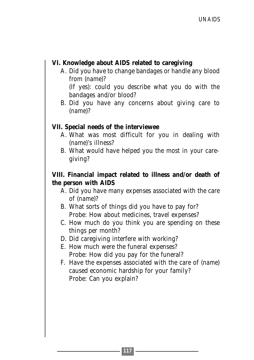#### **VI. Knowledge about AIDS related to caregiving**

A. Did you have to change bandages or handle any blood from (*name*)?

(If yes): could you describe what you do with the bandages and/or blood?

B. Did you have any concerns about giving care to (*name*)?

#### **VII. Special needs of the interviewee**

- A. What was most difficult for you in dealing with (*name*)'s illness?
- B. What would have helped you the most in your caregiving?

#### **VIII. Financial impact related to illness and/or death of the person with AIDS**

- A. Did you have many expenses associated with the care of (*name*)?
- B. What sorts of things did you have to pay for? Probe: How about medicines, travel expenses?
- C. How much do you think you are spending on these things per month?
- D. Did caregiving interfere with working?
- E. How much were the funeral expenses? Probe: How did you pay for the funeral?
- F. Have the expenses associated with the care of (*name*) caused economic hardship for your family? Probe: Can you explain?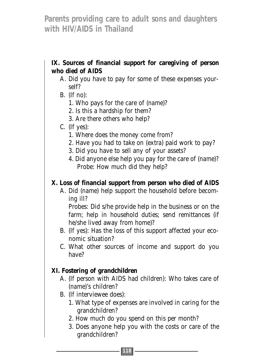#### **IX. Sources of financial support for caregiving of person who died of AIDS**

- A. Did you have to pay for some of these expenses yourself?
- B. (If no):
	- 1. Who pays for the care of (*name*)?
	- 2. Is this a hardship for them?
	- 3. Are there others who help?

#### C. (If yes):

- 1. Where does the money come from?
- 2. Have you had to take on (extra) paid work to pay?
- 3. Did you have to sell any of your assets?
- 4. Did anyone else help you pay for the care of (*name*)? Probe: How much did they help?

#### **X. Loss of financial support from person who died of AIDS**

A. Did (*name*) help support the household before becoming ill?

Probes: Did s/he provide help in the business or on the farm; help in household duties; send remittances (if he/she lived away from home)?

B. (If yes): Has the loss of this support affected your economic situation?

C. What other sources of income and support do you have?

#### **XI. Fostering of grandchildren**

- A. (If person with AIDS had children): Who takes care of (*name*)'s children?
- B. (If interviewee does):
	- 1. What type of expenses are involved in caring for the grandchildren?
	- 2. How much do you spend on this per month?
	- 3. Does anyone help you with the costs or care of the grandchildren?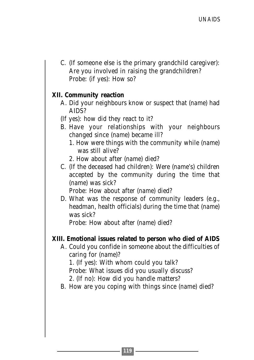C. (If someone else is the primary grandchild caregiver): Are you involved in raising the grandchildren? Probe: (if yes): How so?

#### **XII. Community reaction**

- A. Did your neighbours know or suspect that (*name*) had AIDS?
- (If yes): how did they react to it?
- B. Have your relationships with your neighbours changed since (*name*) became ill?
	- 1. How were things with the community while (*name*) was still alive?
	- 2. How about after (*name*) died?
- C. (If the deceased had children): Were (*name*'s) children accepted by the community during the time that (*name*) was sick?

Probe: How about after (*name*) died?

D. What was the response of community leaders (e.g., headman, health officials) during the time that (*name*) was sick?

Probe: How about after (*name*) died?

#### **XIII. Emotional issues related to person who died of AIDS**

A. Could you confide in someone about the difficulties of caring for (*name*)?

1. (If yes): With whom could you talk?

Probe: What issues did you usually discuss?

2. (If no): How did you handle matters?

B. How are you coping with things since (*name*) died?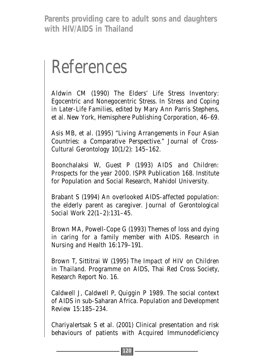### References

Aldwin CM (1990) The Elders' Life Stress Inventory: Egocentric and Nonegocentric Stress. In *Stress and Coping in Later-Life Families*, edited by Mary Ann Parris Stephens, et al. New York, Hemisphere Publishing Corporation, 46–69.

Asis MB, et al. (1995) "Living Arrangements in Four Asian Countries: a Comparative Perspective." *Journal of Cross-Cultural Gerontology* 10(1/2): 145–162.

Boonchalaksi W, Guest P (1993) *AIDS and Children: Prospects for the year 2000*. ISPR Publication 168. Institute for Population and Social Research, Mahidol University.

Brabant S (1994) An overlooked AIDS-affected population: the elderly parent as caregiver. *Journal of Gerontological Social Work* 22(1–2):131–45.

Brown MA, Powell-Cope G (1993) Themes of loss and dying in caring for a family member with AIDS. *Research in Nursing and Health* 16:179–191.

Brown T, Sittitrai W (1995) *The Impact of HIV on Children in Thailand*. Programme on AIDS, Thai Red Cross Society, Research Report No. 16.

Caldwell J, Caldwell P, Quiggin P 1989. The social context of AIDS in sub-Saharan Africa. *Population and Development Review* 15:185–234.

Chariyalertsak S et al. (2001) Clinical presentation and risk behaviours of patients with Acquired Immunodeficiency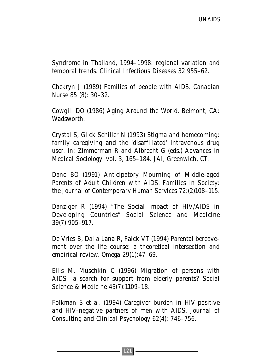Syndrome in Thailand, 1994–1998: regional variation and temporal trends. *Clinical Infectious Diseases* 32:955–62.

Chekryn J (1989) Families of people with AIDS. *Canadian Nurse* 85 (8): 30–32.

Cowgill DO (1986) *Aging Around the World*. Belmont, CA: Wadsworth.

Crystal S, Glick Schiller N (1993) Stigma and homecoming: family caregiving and the 'disaffiliated' intravenous drug user. In: Zimmerman R and Albrecht G (eds.) *Advances in Medical Sociology*, vol. 3, 165–184. JAI, Greenwich, CT.

Dane BO (1991) Anticipatory Mourning of Middle-aged Parents of Adult Children with AIDS. *Families in Society: the Journal of Contemporary Human Services* 72:(2)108–115.

Danziger R (1994) "The Social Impact of HIV/AIDS in Developing Countries" *Social Science and Medicine* 39(7):905–917.

De Vries B, Dalla Lana R, Falck VT (1994) Parental bereavement over the life course: a theoretical intersection and empirical review. *Omega* 29(1):47–69.

Ellis M, Muschkin C (1996) Migration of persons with AIDS—a search for support from elderly parents? *Social Science & Medicine* 43(7):1109–18.

Folkman S et al. (1994) Caregiver burden in HIV-positive and HIV-negative partners of men with AIDS. *Journal of Consulting and Clinical Psychology* 62(4): 746–756.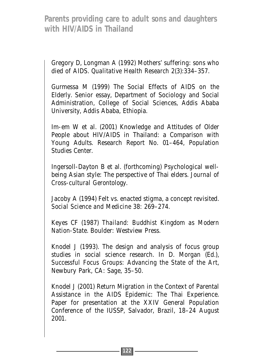Gregory D, Longman A (1992) Mothers' suffering: sons who died of AIDS. *Qualitative Health Research* 2(3):334–357.

Gurmessa M (1999) The Social Effects of AIDS on the Elderly. Senior essay, Department of Sociology and Social Administration, College of Social Sciences, Addis Ababa University, Addis Ababa, Ethiopia.

Im-em W et al. (2001) Knowledge and Attitudes of Older People about HIV/AIDS in Thailand: a Comparison with Young Adults. Research Report No. 01–464, Population Studies Center.

Ingersoll-Dayton B et al. (forthcoming) Psychological wellbeing Asian style: The perspective of Thai elders. *Journal of Cross-cultural Gerontology*.

Jacoby A (1994) Felt vs. enacted stigma, a concept revisited. *Social Science and Medicine* 38: 269–274.

Keyes CF (1987) *Thailand: Buddhist Kingdom as Modern Nation-State*. Boulder: Westview Press.

Knodel J (1993). The design and analysis of focus group studies in social science research. In D. Morgan (Ed.), *Successful Focus Groups: Advancing the State of the Art*, Newbury Park, CA: Sage, 35–50.

Knodel J (2001) Return Migration in the Context of Parental Assistance in the AIDS Epidemic: The Thai Experience. Paper for presentation at the XXIV General Population Conference of the IUSSP, Salvador, Brazil, 18–24 August 2001.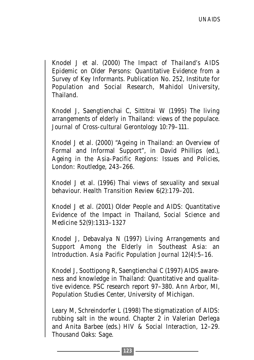Knodel J et al. (2000) *The Impact of Thailand's AIDS Epidemic on Older Persons: Quantitative Evidence from a Survey of Key Informants*. Publication No. 252, Institute for Population and Social Research, Mahidol University, Thailand.

Knodel J, Saengtienchai C, Sittitrai W (1995) The living arrangements of elderly in Thailand: views of the populace. *Journal of Cross-cultural Gerontology* 10:79–111.

Knodel J et al. (2000) "Ageing in Thailand: an Overview of Formal and Informal Support", in David Phillips (ed.), *Ageing in the Asia-Pacific Regions: Issues and Policies*, London: Routledge, 243–266.

Knodel J et al. (1996) Thai views of sexuality and sexual behaviour. *Health Transition Review* 6(2):179–201.

Knodel J et al. (2001) Older People and AIDS: Quantitative Evidence of the Impact in Thailand, *Social Science and Medicine* 52(9):1313–1327

Knodel J, Debavalya N (1997) Living Arrangements and Support Among the Elderly in Southeast Asia: an Introduction. *Asia Pacific Population Journal* 12(4):5–16.

Knodel J, Soottipong R, Saengtienchai C (1997) AIDS awareness and knowledge in Thailand: Quantitative and qualitative evidence. PSC research report 97–380. Ann Arbor, MI, Population Studies Center, University of Michigan.

Leary M, Schreindorfer L (1998) The stigmatization of AIDS: rubbing salt in the wound. Chapter 2 in Valerian Derlega and Anita Barbee (eds.) *HIV & Social Interaction*, 12–29. Thousand Oaks: Sage.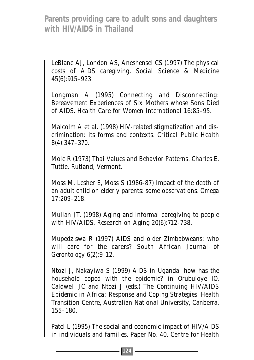LeBlanc AJ, London AS, Aneshensel CS (1997) The physical costs of AIDS caregiving. *Social Science & Medicine* 45(6):915–923.

Longman A (1995) Connecting and Disconnecting: Bereavement Experiences of Six Mothers whose Sons Died of AIDS. *Health Care for Women International* 16:85–95.

Malcolm A et al. (1998) HIV-related stigmatization and discrimination: its forms and contexts. *Critical Public Health* 8(4):347–370.

Mole R (1973) *Thai Values and Behavior Patterns*. Charles E. Tuttle, Rutland, Vermont.

Moss M, Lesher E, Moss S (1986-87) Impact of the death of an adult child on elderly parents: some observations. *Omega* 17:209–218.

Mullan JT. (1998) Aging and informal caregiving to people with HIV/AIDS. *Research on Aging* 20(6):712-738.

Mupedziswa R (1997) AIDS and older Zimbabweans: who will care for the carers? *South African Journal of Gerontology* 6(2):9-12.

Ntozi J, Nakayiwa S (1999) AIDS in Uganda: how has the household coped with the epidemic? in Orubuloye IO, Caldwell JC and Ntozi J (eds.) *The Continuing HIV/AIDS Epidemic in Africa: Response and Coping Strategies*. Health Transition Centre, Australian National University, Canberra, 155–180.

Patel L (1995) The social and economic impact of HIV/AIDS in individuals and families. Paper No. 40. Centre for Health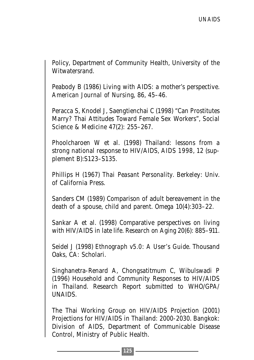Policy, Department of Community Health, University of the Witwatersrand.

Peabody B (1986) Living with AIDS: a mother's perspective. *American Journal of Nursing*, 86, 45–46.

Peracca S, Knodel J, Saengtienchai C (1998) "Can Prostitutes Marry? Thai Attitudes Toward Female Sex Workers", *Social Science & Medicine* 47(2): 255–267.

Phoolcharoen W et al. (1998) Thailand: lessons from a strong national response to HIV/AIDS, *AIDS 1998*, 12 (supplement B):S123–S135.

Phillips H (1967) *Thai Peasant Personality*. Berkeley: Univ. of California Press.

Sanders CM (1989) Comparison of adult bereavement in the death of a spouse, child and parent. *Omega* 10(4):303–22.

Sankar A et al. (1998) Comparative perspectives on living with HIV/AIDS in late life. *Research on Aging* 20(6): 885–911.

Seidel J (1998) *Ethnograph v5.0: A User's Guide*. Thousand Oaks, CA: Scholari.

Singhanetra-Renard A, Chongsatitmum C, Wibulswadi P (1996) Household and Community Responses to HIV/AIDS in Thailand. Research Report submitted to WHO/GPA/ UNAIDS.

The Thai Working Group on HIV/AIDS Projection (2001) Projections for HIV/AIDS in Thailand: 2000-2030. Bangkok: Division of AIDS, Department of Communicable Disease Control, Ministry of Public Health.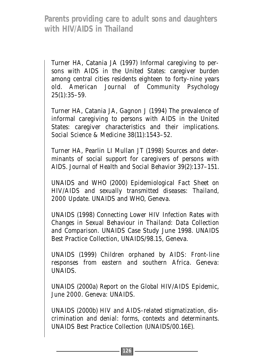Turner HA, Catania JA (1997) Informal caregiving to persons with AIDS in the United States: caregiver burden among central cities residents eighteen to forty-nine years old. *American Journal of Community Psychology* 25(1):35–59.

Turner HA, Catania JA, Gagnon J (1994) The prevalence of informal caregiving to persons with AIDS in the United States: caregiver characteristics and their implications. *Social Science & Medicine* 38(11):1543–52.

Turner HA, Pearlin LI Mullan JT (1998) Sources and determinants of social support for caregivers of persons with AIDS. *Journal of Health and Social Behavior* 39(2):137–151.

UNAIDS and WHO (2000) *Epidemiological Fact Sheet on HIV/AIDS and sexually transmitted diseases: Thailand, 2000 Update*. UNAIDS and WHO, Geneva.

UNAIDS (1998) *Connecting Lower HIV Infection Rates with Changes in Sexual Behaviour in Thailand: Data Collection and Comparison*. UNAIDS Case Study June 1998. UNAIDS Best Practice Collection, UNAIDS/98.15, Geneva.

UNAIDS (1999) *Children orphaned by AIDS: Front-line responses from eastern and southern Africa*. Geneva: UNAIDS.

UNAIDS (2000a) *Report on the Global HIV/AIDS Epidemic, June 2000*. Geneva: UNAIDS.

UNAIDS (2000b) *HIV and AIDS-related stigmatization, discrimination and denial: forms, contexts and determinants*. UNAIDS Best Practice Collection (UNAIDS/00.16E).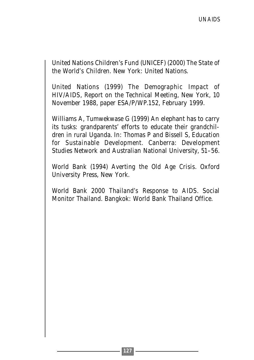United Nations Children's Fund (UNICEF) (2000) *The State of the World's Children*. New York: United Nations.

United Nations (1999) *The Demographic Impact of HIV/AIDS*, Report on the Technical Meeting, New York, 10 November 1988, paper ESA/P/WP.152, February 1999.

Williams A, Tumwekwase G (1999) An elephant has to carry its tusks: grandparents' efforts to educate their grandchildren in rural Uganda. In: Thomas P and Bissell S, *Education for Sustainable Development.* Canberra: Development Studies Network and Australian National University, 51–56.

World Bank (1994) *Averting the Old Age Crisis*. Oxford University Press, New York.

World Bank 2000 *Thailand's Response to AIDS*. Social Monitor Thailand. Bangkok: World Bank Thailand Office.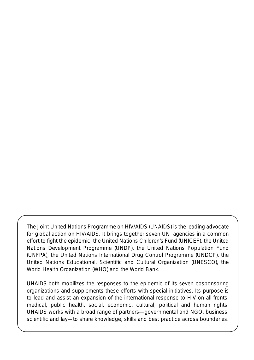The Joint United Nations Programme on HIV/AIDS (UNAIDS) is the leading advocate for global action on HIV/AIDS. It brings together seven UN agencies in a common effort to fight the epidemic: the United Nations Children's Fund (UNICEF), the United Nations Development Programme (UNDP), the United Nations Population Fund (UNFPA), the United Nations International Drug Control Programme (UNDCP), the United Nations Educational, Scientific and Cultural Organization (UNESCO), the World Health Organization (WHO) and the World Bank.

UNAIDS both mobilizes the responses to the epidemic of its seven cosponsoring organizations and supplements these efforts with special initiatives. Its purpose is to lead and assist an expansion of the international response to HIV on all fronts: medical, public health, social, economic, cultural, political and human rights. UNAIDS works with a broad range of partners—governmental and NGO, business, scientific and lay—to share knowledge, skills and best practice across boundaries.